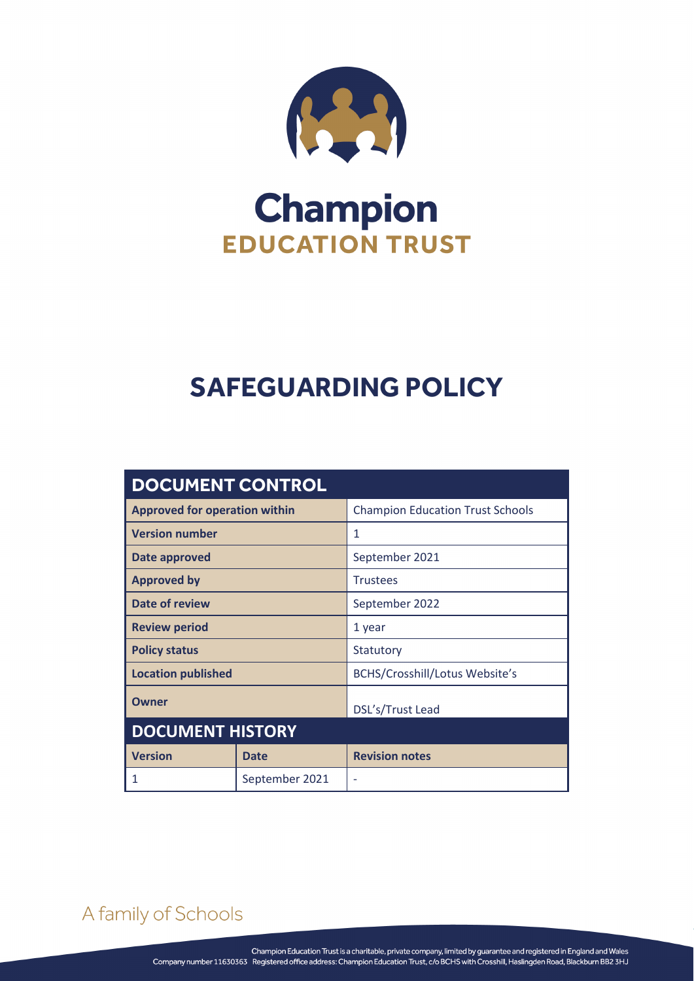

# **Champion EDUCATION TRUST**

# **SAFEGUARDING POLICY**

| <b>DOCUMENT CONTROL</b>              |                |                                         |  |  |  |
|--------------------------------------|----------------|-----------------------------------------|--|--|--|
| <b>Approved for operation within</b> |                | <b>Champion Education Trust Schools</b> |  |  |  |
| <b>Version number</b>                |                | 1                                       |  |  |  |
| Date approved                        |                | September 2021                          |  |  |  |
| <b>Approved by</b>                   |                | <b>Trustees</b>                         |  |  |  |
| Date of review                       |                | September 2022                          |  |  |  |
| <b>Review period</b>                 |                | 1 year                                  |  |  |  |
| <b>Policy status</b>                 |                | Statutory                               |  |  |  |
| <b>Location published</b>            |                | <b>BCHS/Crosshill/Lotus Website's</b>   |  |  |  |
| Owner                                |                | DSL's/Trust Lead                        |  |  |  |
| <b>DOCUMENT HISTORY</b>              |                |                                         |  |  |  |
| <b>Version</b>                       | <b>Date</b>    | <b>Revision notes</b>                   |  |  |  |
| 1                                    | September 2021 | ٠                                       |  |  |  |

## A family of Schools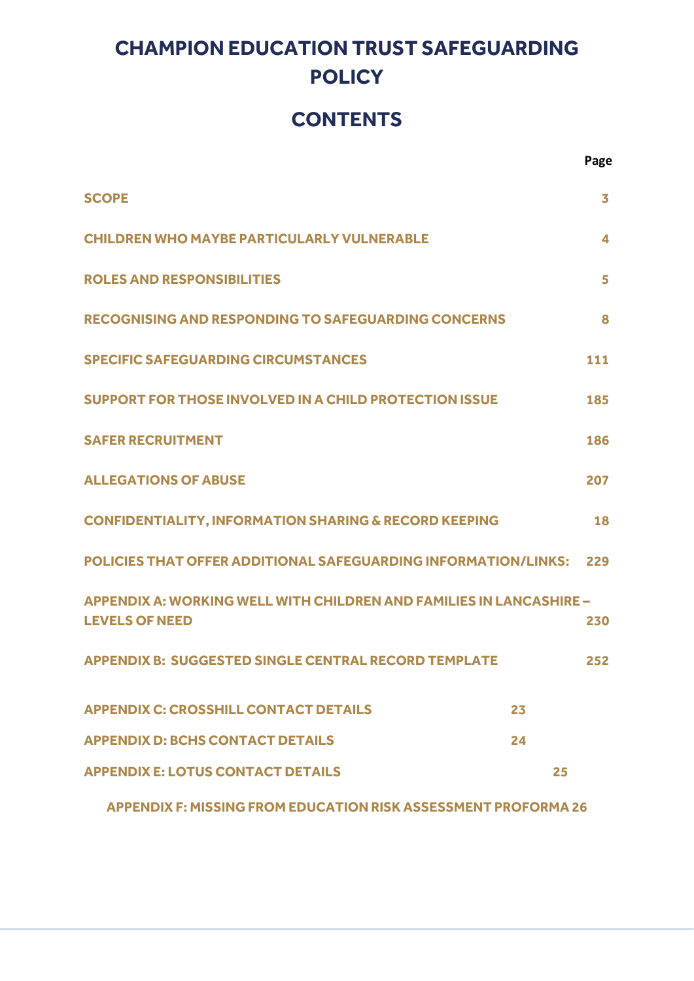## **CHAMPION EDUCATION TRUST SAFEGUARDING POLICY**

## **CONTENTS**

**Page**

| <b>SCOPE</b>                                                                                        | $\overline{\mathbf{3}}$ |
|-----------------------------------------------------------------------------------------------------|-------------------------|
| <b>CHILDREN WHO MAYBE PARTICULARLY VULNERABLE</b>                                                   | 4                       |
| <b>ROLES AND RESPONSIBILITIES</b>                                                                   | 5                       |
| <b>RECOGNISING AND RESPONDING TO SAFEGUARDING CONCERNS</b>                                          | 8                       |
| <b>SPECIFIC SAFEGUARDING CIRCUMSTANCES</b>                                                          | 111                     |
| <b>SUPPORT FOR THOSE INVOLVED IN A CHILD PROTECTION ISSUE</b>                                       | 185                     |
| <b>SAFER RECRUITMENT</b>                                                                            | 186                     |
| <b>ALLEGATIONS OF ABUSE</b>                                                                         | 207                     |
| <b>CONFIDENTIALITY, INFORMATION SHARING &amp; RECORD KEEPING</b>                                    | 18                      |
| POLICIES THAT OFFER ADDITIONAL SAFEGUARDING INFORMATION/LINKS:                                      | 229                     |
| <b>APPENDIX A: WORKING WELL WITH CHILDREN AND FAMILIES IN LANCASHIRE -</b><br><b>LEVELS OF NEED</b> | 230                     |
| <b>APPENDIX B: SUGGESTED SINGLE CENTRAL RECORD TEMPLATE</b>                                         | 252                     |
| <b>APPENDIX C: CROSSHILL CONTACT DETAILS</b>                                                        | 23                      |
| <b>APPENDIX D: BCHS CONTACT DETAILS</b>                                                             | 24                      |
| <b>APPENDIX E: LOTUS CONTACT DETAILS</b>                                                            | 25                      |
| <b>APPENDIX F: MISSING FROM EDUCATION RISK ASSESSMENT PROFORMA 26</b>                               |                         |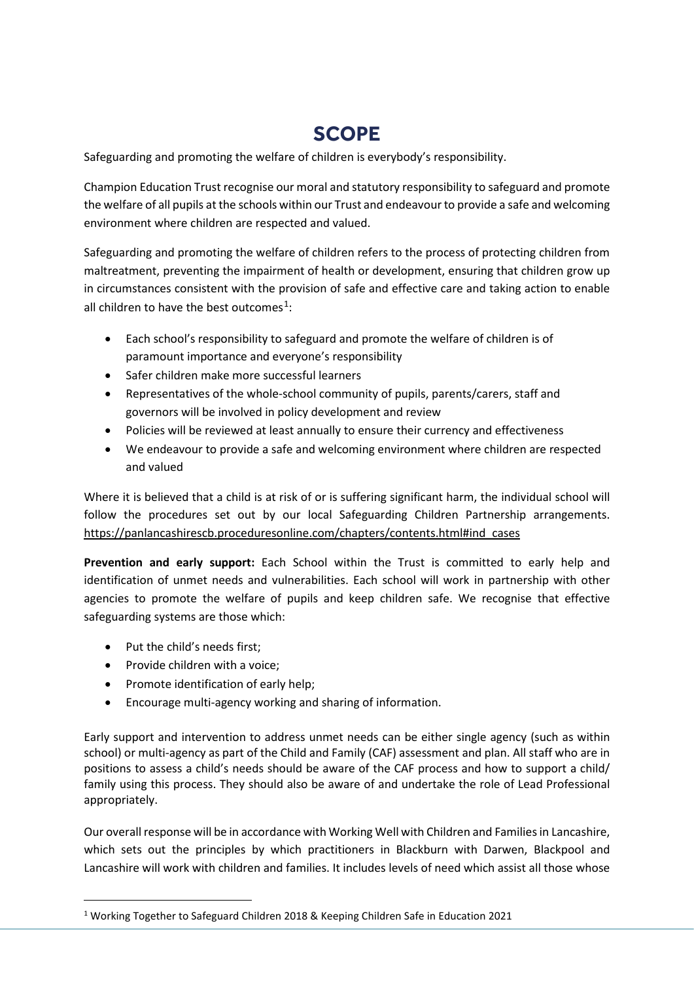## **SCOPE**

<span id="page-2-0"></span>Safeguarding and promoting the welfare of children is everybody's responsibility.

Champion Education Trust recognise our moral and statutory responsibility to safeguard and promote the welfare of all pupils at the schools within our Trust and endeavour to provide a safe and welcoming environment where children are respected and valued.

Safeguarding and promoting the welfare of children refers to the process of protecting children from maltreatment, preventing the impairment of health or development, ensuring that children grow up in circumstances consistent with the provision of safe and effective care and taking action to enable all children to have the best outcomes<sup>1</sup>:

- Each school's responsibility to safeguard and promote the welfare of children is of paramount importance and everyone's responsibility
- Safer children make more successful learners
- Representatives of the whole-school community of pupils, parents/carers, staff and governors will be involved in policy development and review
- Policies will be reviewed at least annually to ensure their currency and effectiveness
- We endeavour to provide a safe and welcoming environment where children are respected and valued

Where it is believed that a child is at risk of or is suffering significant harm, the individual school will follow the procedures set out by our local Safeguarding Children Partnership arrangements. [https://panlancashirescb.proceduresonline.com/chapters/contents.html#ind\\_cases](https://panlancashirescb.proceduresonline.com/chapters/contents.html#ind_cases) 

**Prevention and early support:** Each School within the Trust is committed to early help and identification of unmet needs and vulnerabilities. Each school will work in partnership with other agencies to promote the welfare of pupils and keep children safe. We recognise that effective safeguarding systems are those which:

• Put the child's needs first;

**.** 

- Provide children with a voice;
- Promote identification of early help;
- Encourage multi-agency working and sharing of information.

Early support and intervention to address unmet needs can be either single agency (such as within school) or multi-agency as part of the Child and Family (CAF) assessment and plan. All staff who are in positions to assess a child's needs should be aware of the CAF process and how to support a child/ family using this process. They should also be aware of and undertake the role of Lead Professional appropriately.

Our overall response will be in accordance with Working Well with Children and Families in Lancashire, which sets out the principles by which practitioners in Blackburn with Darwen, Blackpool and Lancashire will work with children and families. It includes levels of need which assist all those whose

<span id="page-2-1"></span><sup>1</sup> Working Together to Safeguard Children 2018 & Keeping Children Safe in Education 2021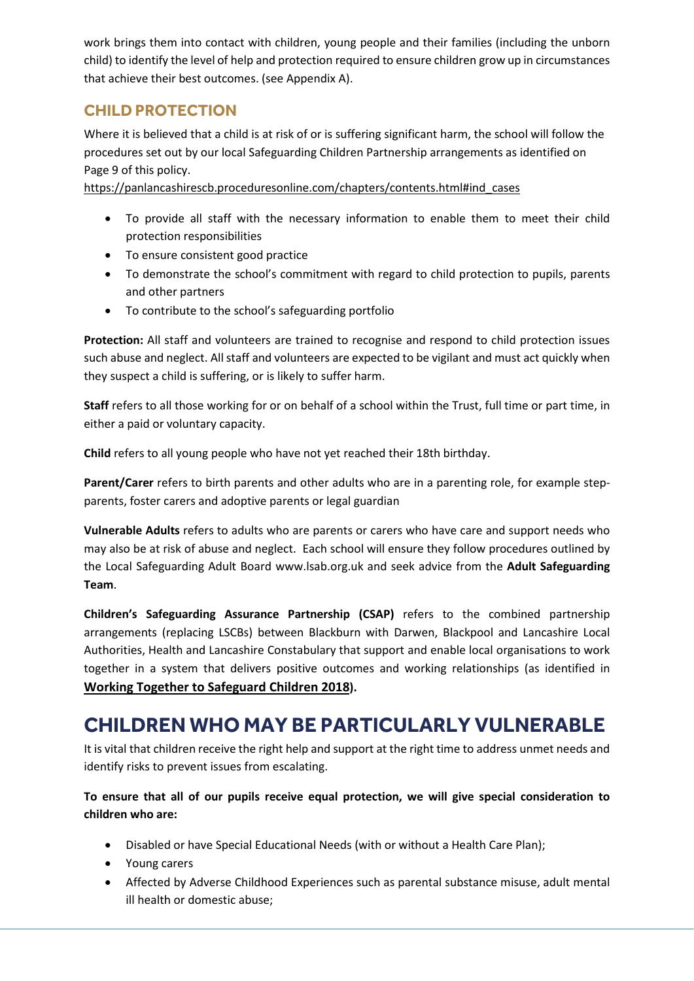work brings them into contact with children, young people and their families (including the unborn child) to identify the level of help and protection required to ensure children grow up in circumstances that achieve their best outcomes. (see Appendix A).

## **CHILD PROTECTION**

Where it is believed that a child is at risk of or is suffering significant harm, the school will follow the procedures set out by our local Safeguarding Children Partnership arrangements as identified on Page 9 of this policy.

[https://panlancashirescb.proceduresonline.com/chapters/contents.html#ind\\_cases](https://panlancashirescb.proceduresonline.com/chapters/contents.html#ind_cases) 

- To provide all staff with the necessary information to enable them to meet their child protection responsibilities
- To ensure consistent good practice
- To demonstrate the school's commitment with regard to child protection to pupils, parents and other partners
- To contribute to the school's safeguarding portfolio

**Protection:** All staff and volunteers are trained to recognise and respond to child protection issues such abuse and neglect. All staff and volunteers are expected to be vigilant and must act quickly when they suspect a child is suffering, or is likely to suffer harm.

**Staff** refers to all those working for or on behalf of a school within the Trust, full time or part time, in either a paid or voluntary capacity.

**Child** refers to all young people who have not yet reached their 18th birthday.

**Parent/Carer** refers to birth parents and other adults who are in a parenting role, for example stepparents, foster carers and adoptive parents or legal guardian

**Vulnerable Adults** refers to adults who are parents or carers who have care and support needs who may also be at risk of abuse and neglect. Each school will ensure they follow procedures outlined by the Local Safeguarding Adult Board [www.lsab.org.uk](http://www.lsab.org.uk/) and seek advice from the **Adult Safeguarding Team**.

**Children's Safeguarding Assurance Partnership (CSAP)** refers to the combined partnership arrangements (replacing LSCBs) between Blackburn with Darwen, Blackpool and Lancashire Local Authorities, Health and Lancashire Constabulary that support and enable local organisations to work together in a system that delivers positive outcomes and working relationships (as identified in **[Working Together to Safeguard Children 2018\)](https://www.gov.uk/government/publications/working-together-to-safeguard-children--2).**

## <span id="page-3-0"></span>**CHILDREN WHO MAY BE PARTICULARLY VULNERABLE**

It is vital that children receive the right help and support at the right time to address unmet needs and identify risks to prevent issues from escalating.

**To ensure that all of our pupils receive equal protection, we will give special consideration to children who are:** 

- Disabled or have Special Educational Needs (with or without a Health Care Plan);
- Young carers
- Affected by Adverse Childhood Experiences such as parental substance misuse, adult mental ill health or domestic abuse;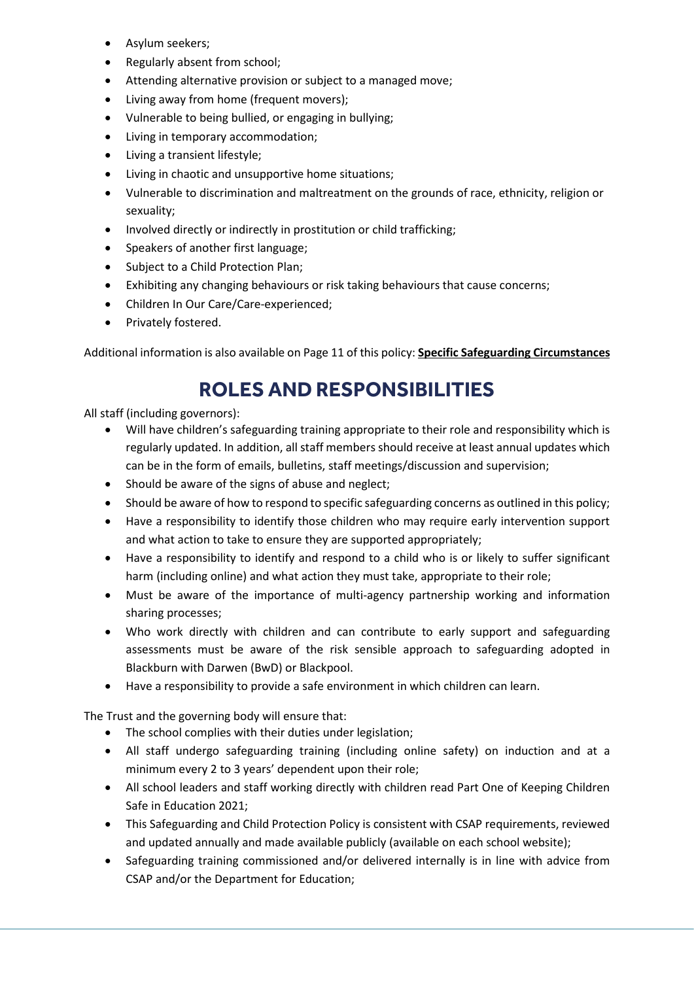- Asylum seekers;
- Regularly absent from school;
- Attending alternative provision or subject to a managed move;
- Living away from home (frequent movers);
- Vulnerable to being bullied, or engaging in bullying;
- Living in temporary accommodation;
- Living a transient lifestyle;
- Living in chaotic and unsupportive home situations;
- Vulnerable to discrimination and maltreatment on the grounds of race, ethnicity, religion or sexuality;
- Involved directly or indirectly in prostitution or child trafficking;
- Speakers of another first language;
- Subject to a Child Protection Plan;
- Exhibiting any changing behaviours or risk taking behaviours that cause concerns;
- Children In Our Care/Care-experienced;
- Privately fostered.

<span id="page-4-0"></span>Additional information is also available on Page 11 of this policy: **[Specific Safeguarding Circumstances](#page-10-0)**

## **ROLES AND RESPONSIBILITIES**

All staff (including governors):

- Will have children's safeguarding training appropriate to their role and responsibility which is regularly updated. In addition, all staff members should receive at least annual updates which can be in the form of emails, bulletins, staff meetings/discussion and supervision;
- Should be aware of the signs of abuse and neglect;
- Should be aware of how to respond to specific safeguarding concerns as outlined in this policy;
- Have a responsibility to identify those children who may require early intervention support and what action to take to ensure they are supported appropriately;
- Have a responsibility to identify and respond to a child who is or likely to suffer significant harm (including online) and what action they must take, appropriate to their role;
- Must be aware of the importance of multi-agency partnership working and information sharing processes;
- Who work directly with children and can contribute to early support and safeguarding assessments must be aware of the risk sensible approach to safeguarding adopted in Blackburn with Darwen (BwD) or Blackpool.
- Have a responsibility to provide a safe environment in which children can learn.

The Trust and the governing body will ensure that:

- The school complies with their duties under legislation;
- All staff undergo safeguarding training (including online safety) on induction and at a minimum every 2 to 3 years' dependent upon their role;
- All school leaders and staff working directly with children read Part One of Keeping Children Safe in Education 2021;
- This Safeguarding and Child Protection Policy is consistent with CSAP requirements, reviewed and updated annually and made available publicly (available on each school website);
- Safeguarding training commissioned and/or delivered internally is in line with advice from CSAP and/or the Department for Education;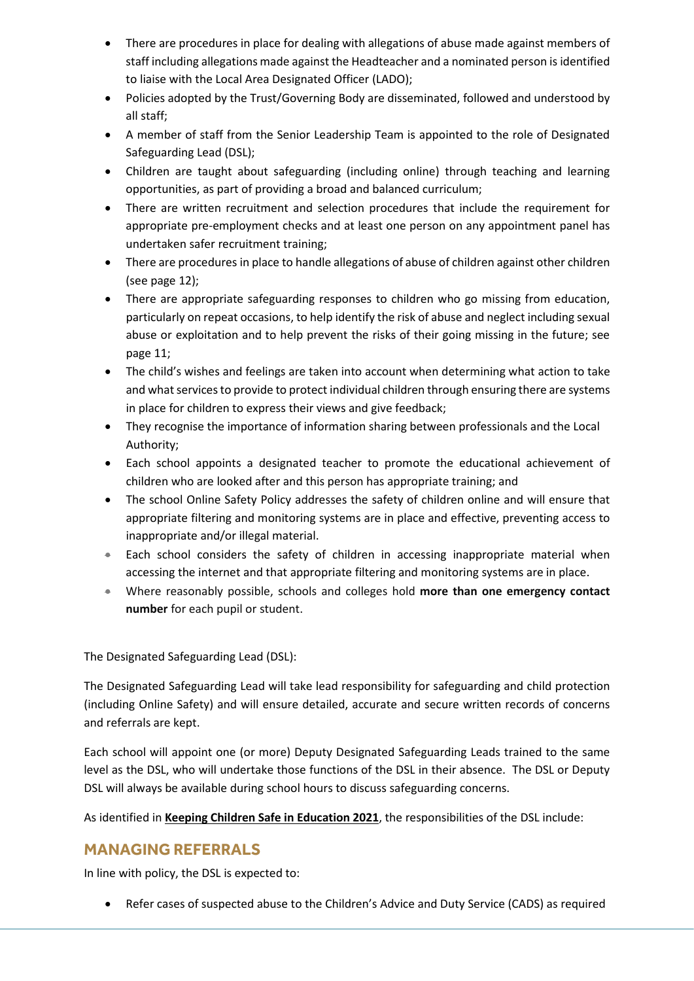- There are procedures in place for dealing with allegations of abuse made against members of staff including allegations made against the Headteacher and a nominated person is identified to liaise with the Local Area Designated Officer (LADO);
- Policies adopted by the Trust/Governing Body are disseminated, followed and understood by all staff;
- A member of staff from the Senior Leadership Team is appointed to the role of Designated Safeguarding Lead (DSL);
- Children are taught about safeguarding (including online) through teaching and learning opportunities, as part of providing a broad and balanced curriculum;
- There are written recruitment and selection procedures that include the requirement for appropriate pre-employment checks and at least one person on any appointment panel has undertaken safer recruitment training;
- There are procedures in place to handle allegations of abuse of children against other children (see page 12);
- There are appropriate safeguarding responses to children who go missing from education, particularly on repeat occasions, to help identify the risk of abuse and neglect including sexual abuse or exploitation and to help prevent the risks of their going missing in the future; see page 11;
- The child's wishes and feelings are taken into account when determining what action to take and what services to provide to protect individual children through ensuring there are systems in place for children to express their views and give feedback;
- They recognise the importance of information sharing between professionals and the Local Authority;
- Each school appoints a designated teacher to promote the educational achievement of children who are looked after and this person has appropriate training; and
- The school Online Safety Policy addresses the safety of children online and will ensure that appropriate filtering and monitoring systems are in place and effective, preventing access to inappropriate and/or illegal material.
- Each school considers the safety of children in accessing inappropriate material when accessing the internet and that appropriate filtering and monitoring systems are in place.
- Where reasonably possible, schools and colleges hold **more than one emergency contact number** for each pupil or student.

The Designated Safeguarding Lead (DSL):

The Designated Safeguarding Lead will take lead responsibility for safeguarding and child protection (including Online Safety) and will ensure detailed, accurate and secure written records of concerns and referrals are kept.

Each school will appoint one (or more) Deputy Designated Safeguarding Leads trained to the same level as the DSL, who will undertake those functions of the DSL in their absence. The DSL or Deputy DSL will always be available during school hours to discuss safeguarding concerns.

As identified in **[Keeping Children Safe in Education 2021](https://www.gov.uk/government/publications/keeping-children-safe-in-education--2)**, the responsibilities of the DSL include:

## **MANAGING REFERRALS**

In line with policy, the DSL is expected to:

• Refer cases of suspected abuse to the Children's Advice and Duty Service (CADS) as required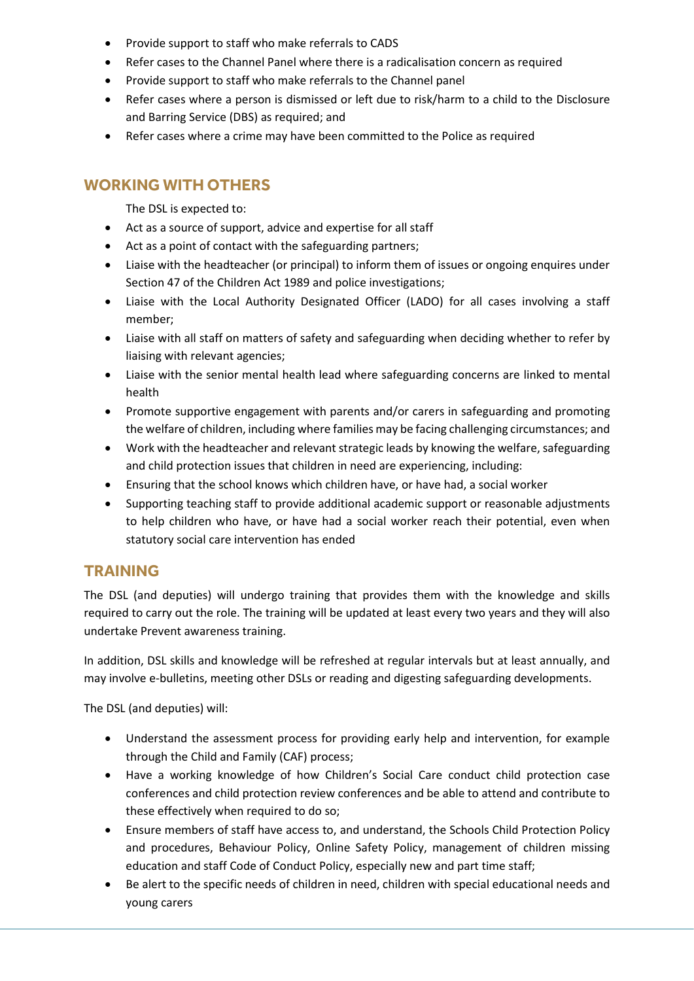- Provide support to staff who make referrals to CADS
- Refer cases to the Channel Panel where there is a radicalisation concern as required
- Provide support to staff who make referrals to the Channel panel
- Refer cases where a person is dismissed or left due to risk/harm to a child to the Disclosure and Barring Service (DBS) as required; and
- Refer cases where a crime may have been committed to the Police as required

### **WORKING WITH OTHERS**

The DSL is expected to:

- Act as a source of support, advice and expertise for all staff
- Act as a point of contact with the safeguarding partners;
- Liaise with the headteacher (or principal) to inform them of issues or ongoing enquires under Section 47 of the Children Act 1989 and police investigations;
- Liaise with the Local Authority Designated Officer (LADO) for all cases involving a staff member;
- Liaise with all staff on matters of safety and safeguarding when deciding whether to refer by liaising with relevant agencies;
- Liaise with the senior mental health lead where safeguarding concerns are linked to mental health
- Promote supportive engagement with parents and/or carers in safeguarding and promoting the welfare of children, including where families may be facing challenging circumstances; and
- Work with the headteacher and relevant strategic leads by knowing the welfare, safeguarding and child protection issues that children in need are experiencing, including:
- Ensuring that the school knows which children have, or have had, a social worker
- Supporting teaching staff to provide additional academic support or reasonable adjustments to help children who have, or have had a social worker reach their potential, even when statutory social care intervention has ended

### **TRAINING**

The DSL (and deputies) will undergo training that provides them with the knowledge and skills required to carry out the role. The training will be updated at least every two years and they will also undertake Prevent awareness training.

In addition, DSL skills and knowledge will be refreshed at regular intervals but at least annually, and may involve e-bulletins, meeting other DSLs or reading and digesting safeguarding developments.

The DSL (and deputies) will:

- Understand the assessment process for providing early help and intervention, for example through the Child and Family (CAF) process;
- Have a working knowledge of how Children's Social Care conduct child protection case conferences and child protection review conferences and be able to attend and contribute to these effectively when required to do so;
- Ensure members of staff have access to, and understand, the Schools Child Protection Policy and procedures, Behaviour Policy, Online Safety Policy, management of children missing education and staff Code of Conduct Policy, especially new and part time staff;
- Be alert to the specific needs of children in need, children with special educational needs and young carers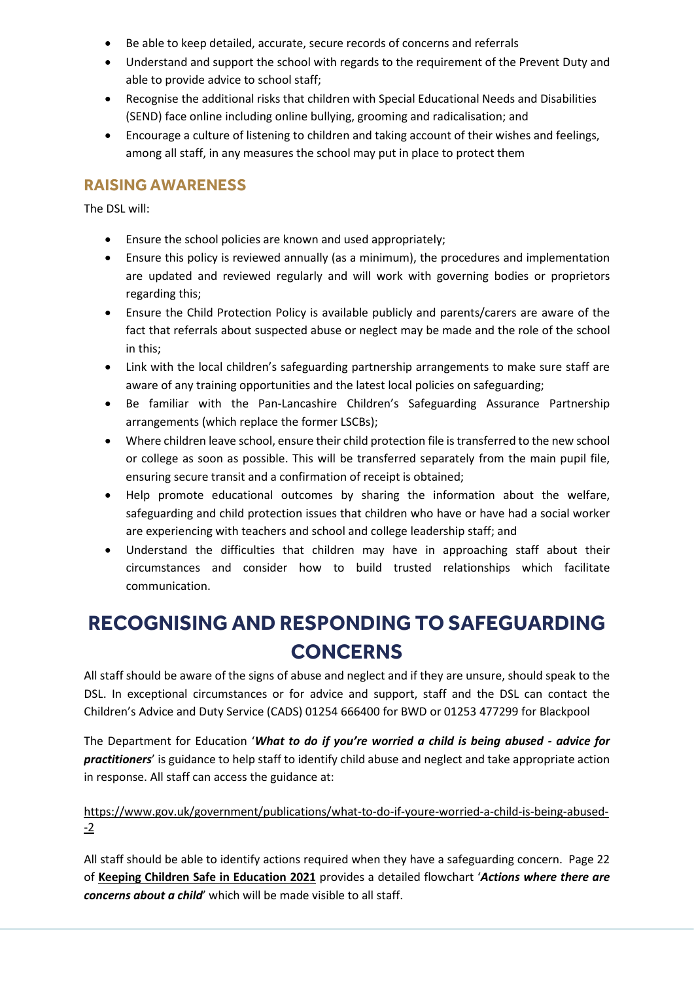- Be able to keep detailed, accurate, secure records of concerns and referrals
- Understand and support the school with regards to the requirement of the Prevent Duty and able to provide advice to school staff;
- Recognise the additional risks that children with Special Educational Needs and Disabilities (SEND) face online including online bullying, grooming and radicalisation; and
- Encourage a culture of listening to children and taking account of their wishes and feelings, among all staff, in any measures the school may put in place to protect them

### **RAISING AWARENESS**

The DSL will:

- Ensure the school policies are known and used appropriately;
- Ensure this policy is reviewed annually (as a minimum), the procedures and implementation are updated and reviewed regularly and will work with governing bodies or proprietors regarding this;
- Ensure the Child Protection Policy is available publicly and parents/carers are aware of the fact that referrals about suspected abuse or neglect may be made and the role of the school in this;
- Link with the local children's safeguarding partnership arrangements to make sure staff are aware of any training opportunities and the latest local policies on safeguarding;
- Be familiar with the Pan-Lancashire Children's Safeguarding Assurance Partnership arrangements (which replace the former LSCBs);
- Where children leave school, ensure their child protection file is transferred to the new school or college as soon as possible. This will be transferred separately from the main pupil file, ensuring secure transit and a confirmation of receipt is obtained;
- Help promote educational outcomes by sharing the information about the welfare, safeguarding and child protection issues that children who have or have had a social worker are experiencing with teachers and school and college leadership staff; and
- Understand the difficulties that children may have in approaching staff about their circumstances and consider how to build trusted relationships which facilitate communication.

## <span id="page-7-0"></span>**RECOGNISING AND RESPONDING TO SAFEGUARDING CONCERNS**

All staff should be aware of the signs of abuse and neglect and if they are unsure, should speak to the DSL. In exceptional circumstances or for advice and support, staff and the DSL can contact the Children's Advice and Duty Service (CADS) 01254 666400 for BWD or 01253 477299 for Blackpool

The Department for Education '*What to do if you're worried a child is being abused - advice for practitioners*' is guidance to help staff to identify child abuse and neglect and take appropriate action in response. All staff can access the guidance at:

[https://www.gov.uk/government/publications/what-to-do-if-youre-worried-a-child-is-being-abused-](https://www.gov.uk/government/publications/what-to-do-if-youre-worried-a-child-is-being-abused--2) [-2](https://www.gov.uk/government/publications/what-to-do-if-youre-worried-a-child-is-being-abused--2) 

All staff should be able to identify actions required when they have a safeguarding concern. Page 22 of **[Keeping Children Safe in Education 2021](https://www.gov.uk/government/publications/keeping-children-safe-in-education--2)** provides a detailed flowchart '*Actions where there are concerns about a child*' which will be made visible to all staff.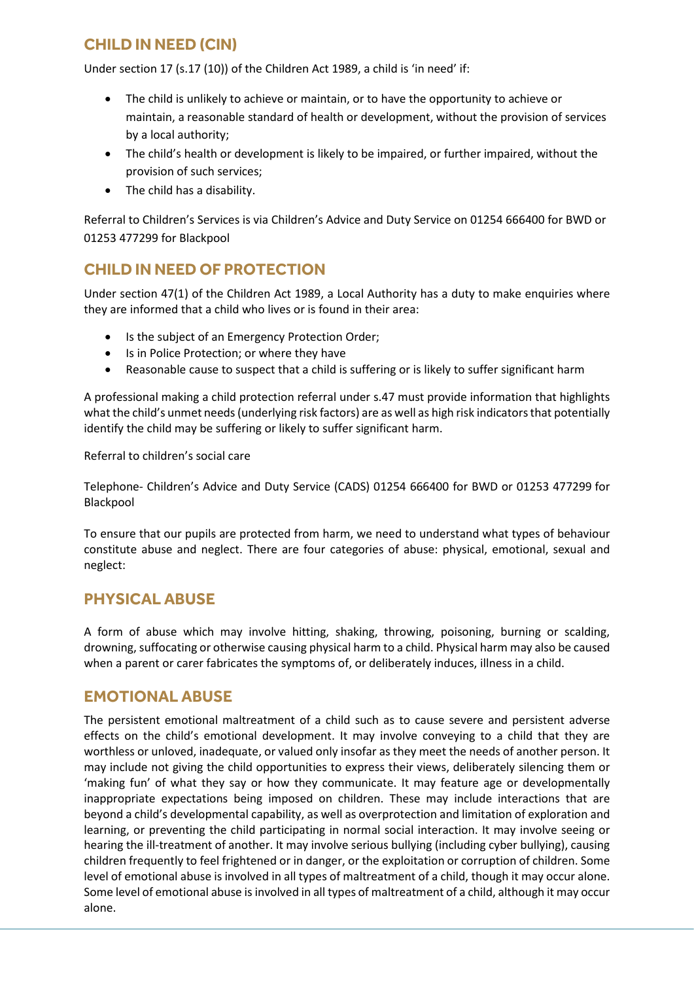## **CHILD IN NEED (CIN)**

Under section 17 (s.17 (10)) of the Children Act 1989, a child is 'in need' if:

- The child is unlikely to achieve or maintain, or to have the opportunity to achieve or maintain, a reasonable standard of health or development, without the provision of services by a local authority;
- The child's health or development is likely to be impaired, or further impaired, without the provision of such services;
- The child has a disability.

Referral to Children's Services is via Children's Advice and Duty Service on 01254 666400 for BWD or 01253 477299 for Blackpool

## **CHILD IN NEED OF PROTECTION**

Under section 47(1) of the Children Act 1989, a Local Authority has a duty to make enquiries where they are informed that a child who lives or is found in their area:

- Is the subject of an Emergency Protection Order;
- Is in Police Protection; or where they have
- Reasonable cause to suspect that a child is suffering or is likely to suffer significant harm

A professional making a child protection referral under s.47 must provide information that highlights what the child's unmet needs (underlying risk factors) are as well as high risk indicators that potentially identify the child may be suffering or likely to suffer significant harm.

Referral to children's social care

Telephone- Children's Advice and Duty Service (CADS) 01254 666400 for BWD or 01253 477299 for Blackpool

To ensure that our pupils are protected from harm, we need to understand what types of behaviour constitute abuse and neglect. There are four categories of abuse: physical, emotional, sexual and neglect:

## **PHYSICAL ABUSE**

A form of abuse which may involve hitting, shaking, throwing, poisoning, burning or scalding, drowning, suffocating or otherwise causing physical harm to a child. Physical harm may also be caused when a parent or carer fabricates the symptoms of, or deliberately induces, illness in a child.

### **EMOTIONAL ABUSE**

The persistent emotional maltreatment of a child such as to cause severe and persistent adverse effects on the child's emotional development. It may involve conveying to a child that they are worthless or unloved, inadequate, or valued only insofar as they meet the needs of another person. It may include not giving the child opportunities to express their views, deliberately silencing them or 'making fun' of what they say or how they communicate. It may feature age or developmentally inappropriate expectations being imposed on children. These may include interactions that are beyond a child's developmental capability, as well as overprotection and limitation of exploration and learning, or preventing the child participating in normal social interaction. It may involve seeing or hearing the ill-treatment of another. It may involve serious bullying (including cyber bullying), causing children frequently to feel frightened or in danger, or the exploitation or corruption of children. Some level of emotional abuse is involved in all types of maltreatment of a child, though it may occur alone. Some level of emotional abuse is involved in all types of maltreatment of a child, although it may occur alone.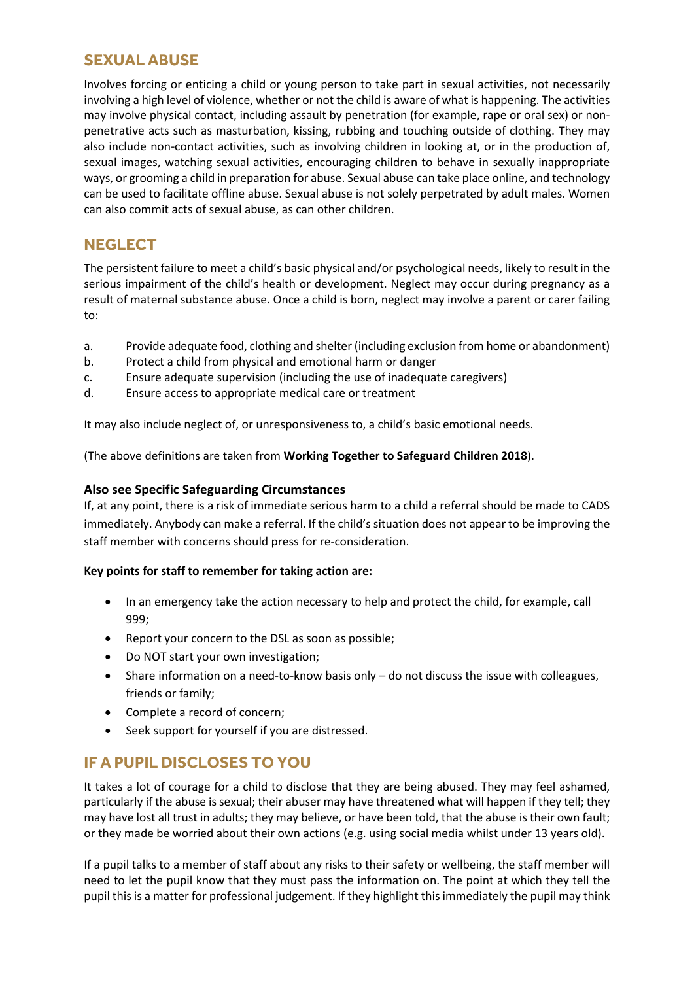## **SEXUAL ABUSE**

Involves forcing or enticing a child or young person to take part in sexual activities, not necessarily involving a high level of violence, whether or not the child is aware of what is happening. The activities may involve physical contact, including assault by penetration (for example, rape or oral sex) or nonpenetrative acts such as masturbation, kissing, rubbing and touching outside of clothing. They may also include non-contact activities, such as involving children in looking at, or in the production of, sexual images, watching sexual activities, encouraging children to behave in sexually inappropriate ways, or grooming a child in preparation for abuse. Sexual abuse can take place online, and technology can be used to facilitate offline abuse. Sexual abuse is not solely perpetrated by adult males. Women can also commit acts of sexual abuse, as can other children.

## **NEGLECT**

The persistent failure to meet a child's basic physical and/or psychological needs, likely to result in the serious impairment of the child's health or development. Neglect may occur during pregnancy as a result of maternal substance abuse. Once a child is born, neglect may involve a parent or carer failing to:

- a. Provide adequate food, clothing and shelter (including exclusion from home or abandonment)
- b. Protect a child from physical and emotional harm or danger
- c. Ensure adequate supervision (including the use of inadequate caregivers)
- d. Ensure access to appropriate medical care or treatment

It may also include neglect of, or unresponsiveness to, a child's basic emotional needs.

(The above definitions are taken from **Working Together to Safeguard Children 2018**).

#### **Also see Specific Safeguarding Circumstances**

If, at any point, there is a risk of immediate serious harm to a child a referral should be made to CADS immediately. Anybody can make a referral. If the child's situation does not appear to be improving the staff member with concerns should press for re-consideration.

#### **Key points for staff to remember for taking action are:**

- In an emergency take the action necessary to help and protect the child, for example, call 999;
- Report your concern to the DSL as soon as possible;
- Do NOT start your own investigation;
- Share information on a need-to-know basis only do not discuss the issue with colleagues, friends or family;
- Complete a record of concern;
- Seek support for yourself if you are distressed.

## **IF A PUPIL DISCLOSES TO YOU**

It takes a lot of courage for a child to disclose that they are being abused. They may feel ashamed, particularly if the abuse is sexual; their abuser may have threatened what will happen if they tell; they may have lost all trust in adults; they may believe, or have been told, that the abuse is their own fault; or they made be worried about their own actions (e.g. using social media whilst under 13 years old).

If a pupil talks to a member of staff about any risks to their safety or wellbeing, the staff member will need to let the pupil know that they must pass the information on. The point at which they tell the pupil this is a matter for professional judgement. If they highlight this immediately the pupil may think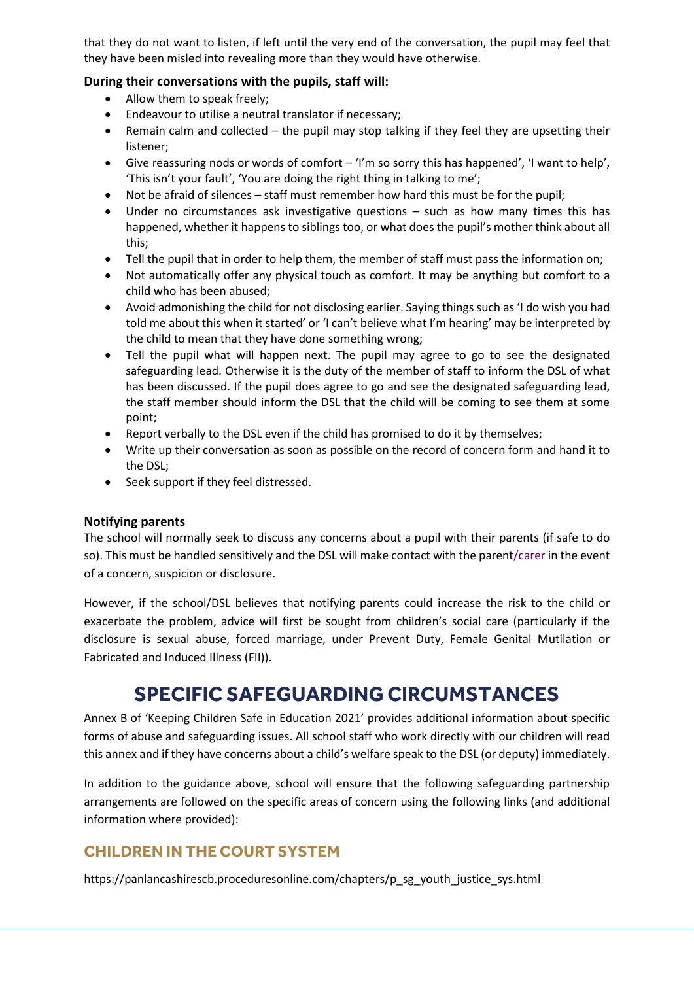that they do not want to listen, if left until the very end of the conversation, the pupil may feel that they have been misled into revealing more than they would have otherwise.

#### **During their conversations with the pupils, staff will:**

- Allow them to speak freely;
- Endeavour to utilise a neutral translator if necessary;
- Remain calm and collected the pupil may stop talking if they feel they are upsetting their listener;
- Give reassuring nods or words of comfort 'I'm so sorry this has happened', 'I want to help', 'This isn't your fault', 'You are doing the right thing in talking to me';
- Not be afraid of silences staff must remember how hard this must be for the pupil;
- Under no circumstances ask investigative questions such as how many times this has happened, whether it happens to siblings too, or what does the pupil's mother think about all this;
- Tell the pupil that in order to help them, the member of staff must pass the information on;
- Not automatically offer any physical touch as comfort. It may be anything but comfort to a child who has been abused;
- Avoid admonishing the child for not disclosing earlier. Saying things such as 'I do wish you had told me about this when it started' or 'I can't believe what I'm hearing' may be interpreted by the child to mean that they have done something wrong;
- Tell the pupil what will happen next. The pupil may agree to go to see the designated safeguarding lead. Otherwise it is the duty of the member of staff to inform the DSL of what has been discussed. If the pupil does agree to go and see the designated safeguarding lead, the staff member should inform the DSL that the child will be coming to see them at some point;
- Report verbally to the DSL even if the child has promised to do it by themselves;
- Write up their conversation as soon as possible on the record of concern form and hand it to the DSL;
- Seek support if they feel distressed.

#### **Notifying parents**

The school will normally seek to discuss any concerns about a pupil with their parents (if safe to do so). This must be handled sensitively and the DSL will make contact with the parent/carer in the event of a concern, suspicion or disclosure.

However, if the school/DSL believes that notifying parents could increase the risk to the child or exacerbate the problem, advice will first be sought from children's social care (particularly if the disclosure is sexual abuse, forced marriage, under Prevent Duty, Female Genital Mutilation or Fabricated and Induced Illness (FII)).

## **SPECIFIC SAFEGUARDING CIRCUMSTANCES**

<span id="page-10-0"></span>Annex B of 'Keeping Children Safe in Education 2021' provides additional information about specific forms of abuse and safeguarding issues. All school staff who work directly with our children will read this annex and if they have concerns about a child's welfare speak to the DSL (or deputy) immediately.

In addition to the guidance above, school will ensure that the following safeguarding partnership arrangements are followed on the specific areas of concern using the following links (and additional information where provided):

## **CHILDREN IN THE COURT SYSTEM**

[https://panlancashirescb.proceduresonline.com/chapters/p\\_sg\\_youth\\_justice\\_sys.html](https://panlancashirescb.proceduresonline.com/chapters/p_sg_youth_justice_sys.html)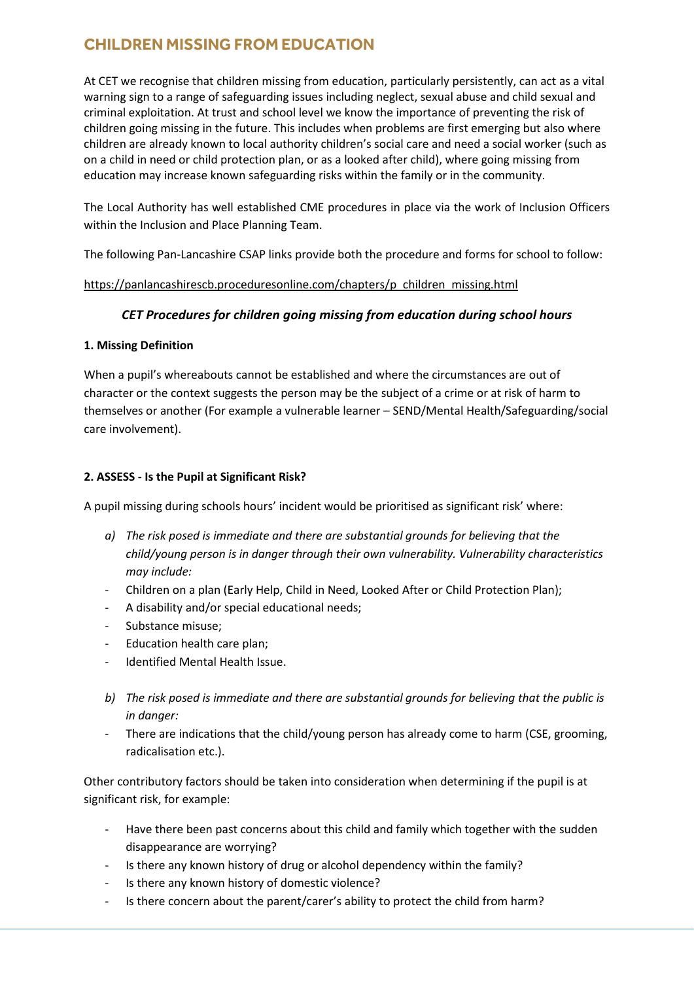## **CHILDREN MISSING FROM EDUCATION**

At CET we recognise that children missing from education, particularly persistently, can act as a vital warning sign to a range of safeguarding issues including neglect, sexual abuse and child sexual and criminal exploitation. At trust and school level we know the importance of preventing the risk of children going missing in the future. This includes when problems are first emerging but also where children are already known to local authority children's social care and need a social worker (such as on a child in need or child protection plan, or as a looked after child), where going missing from education may increase known safeguarding risks within the family or in the community.

The Local Authority has well established CME procedures in place via the work of Inclusion Officers within the Inclusion and Place Planning Team.

The following Pan-Lancashire CSAP links provide both the procedure and forms for school to follow:

#### [https://panlancashirescb.proceduresonline.com/chapters/p\\_children\\_missing.html](https://panlancashirescb.proceduresonline.com/chapters/p_children_missing.html)

#### *CET Procedures for children going missing from education during school hours*

#### **1. Missing Definition**

When a pupil's whereabouts cannot be established and where the circumstances are out of character or the context suggests the person may be the subject of a crime or at risk of harm to themselves or another (For example a vulnerable learner – SEND/Mental Health/Safeguarding/social care involvement).

#### **2. ASSESS - Is the Pupil at Significant Risk?**

A pupil missing during schools hours' incident would be prioritised as significant risk' where:

- *a) The risk posed is immediate and there are substantial grounds for believing that the child/young person is in danger through their own vulnerability. Vulnerability characteristics may include:*
- Children on a plan (Early Help, Child in Need, Looked After or Child Protection Plan);
- A disability and/or special educational needs;
- Substance misuse;
- Education health care plan;
- Identified Mental Health Issue.
- *b) The risk posed is immediate and there are substantial grounds for believing that the public is in danger:*
- There are indications that the child/young person has already come to harm (CSE, grooming, radicalisation etc.).

Other contributory factors should be taken into consideration when determining if the pupil is at significant risk, for example:

- Have there been past concerns about this child and family which together with the sudden disappearance are worrying?
- Is there any known history of drug or alcohol dependency within the family?
- Is there any known history of domestic violence?
- Is there concern about the parent/carer's ability to protect the child from harm?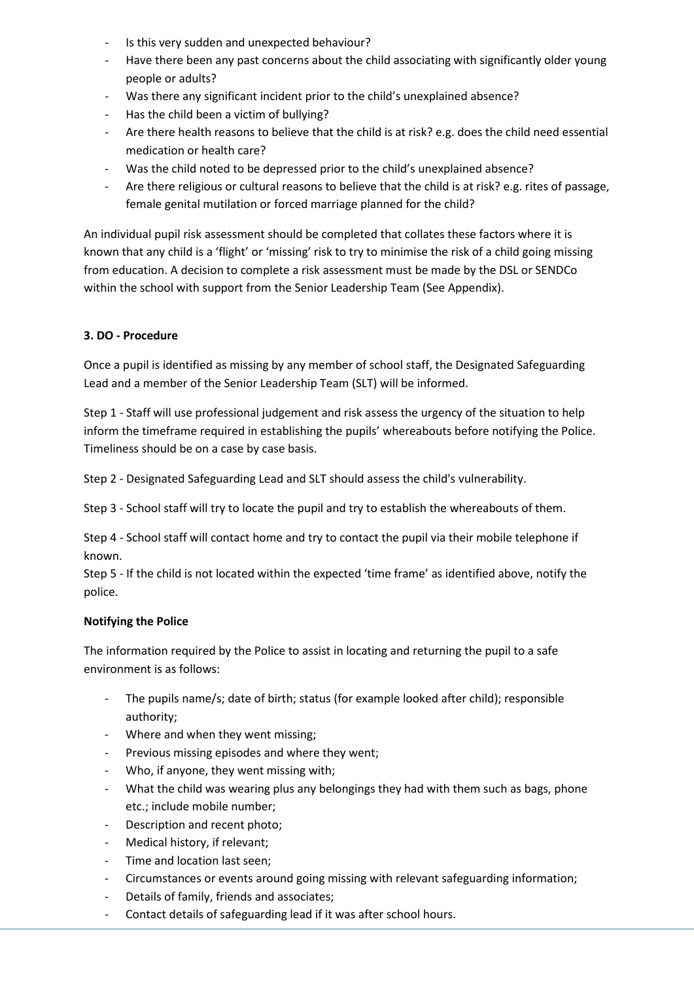- Is this very sudden and unexpected behaviour?
- Have there been any past concerns about the child associating with significantly older young people or adults?
- Was there any significant incident prior to the child's unexplained absence?
- Has the child been a victim of bullying?
- Are there health reasons to believe that the child is at risk? e.g. does the child need essential medication or health care?
- Was the child noted to be depressed prior to the child's unexplained absence?
- Are there religious or cultural reasons to believe that the child is at risk? e.g. rites of passage, female genital mutilation or forced marriage planned for the child?

An individual pupil risk assessment should be completed that collates these factors where it is known that any child is a 'flight' or 'missing' risk to try to minimise the risk of a child going missing from education. A decision to complete a risk assessment must be made by the DSL or SENDCo within the school with support from the Senior Leadership Team (See Appendix).

#### **3. DO - Procedure**

Once a pupil is identified as missing by any member of school staff, the Designated Safeguarding Lead and a member of the Senior Leadership Team (SLT) will be informed.

Step 1 - Staff will use professional judgement and risk assess the urgency of the situation to help inform the timeframe required in establishing the pupils' whereabouts before notifying the Police. Timeliness should be on a case by case basis.

Step 2 - Designated Safeguarding Lead and SLT should assess the child's vulnerability.

Step 3 - School staff will try to locate the pupil and try to establish the whereabouts of them.

Step 4 - School staff will contact home and try to contact the pupil via their mobile telephone if known.

Step 5 - If the child is not located within the expected 'time frame' as identified above, notify the police.

#### **Notifying the Police**

The information required by the Police to assist in locating and returning the pupil to a safe environment is as follows:

- The pupils name/s; date of birth; status (for example looked after child); responsible authority;
- Where and when they went missing;
- Previous missing episodes and where they went;
- Who, if anyone, they went missing with;
- What the child was wearing plus any belongings they had with them such as bags, phone etc.; include mobile number;
- Description and recent photo;
- Medical history, if relevant;
- Time and location last seen;
- Circumstances or events around going missing with relevant safeguarding information;
- Details of family, friends and associates;
- Contact details of safeguarding lead if it was after school hours.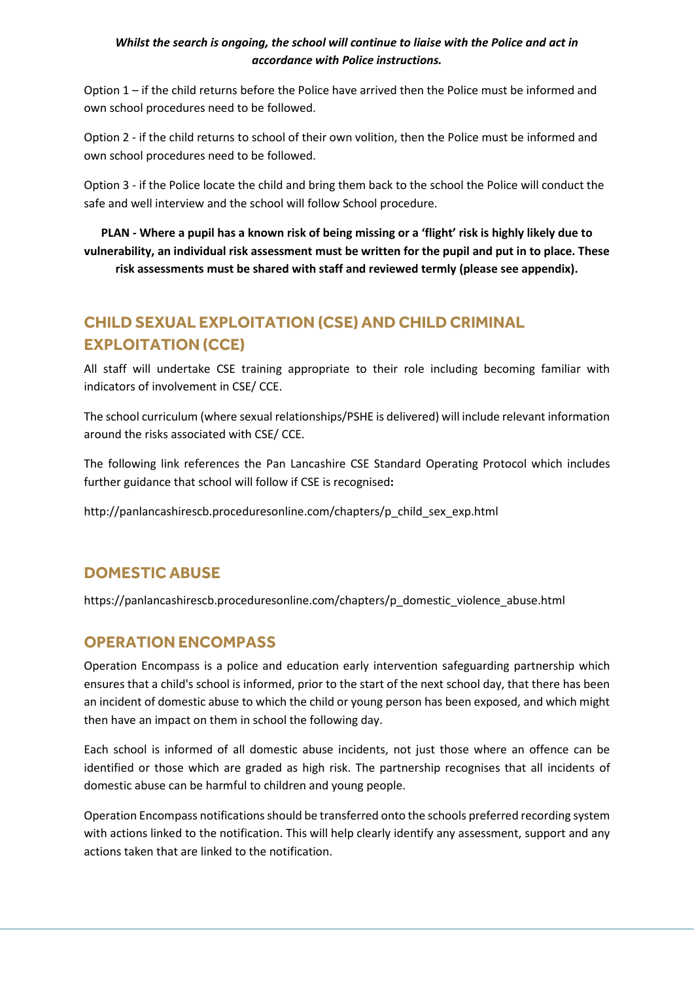#### *Whilst the search is ongoing, the school will continue to liaise with the Police and act in accordance with Police instructions.*

Option 1 – if the child returns before the Police have arrived then the Police must be informed and own school procedures need to be followed.

Option 2 - if the child returns to school of their own volition, then the Police must be informed and own school procedures need to be followed.

Option 3 - if the Police locate the child and bring them back to the school the Police will conduct the safe and well interview and the school will follow School procedure.

**PLAN - Where a pupil has a known risk of being missing or a 'flight' risk is highly likely due to vulnerability, an individual risk assessment must be written for the pupil and put in to place. These risk assessments must be shared with staff and reviewed termly (please see appendix).**

## **CHILD SEXUAL EXPLOITATION (CSE) AND CHILD CRIMINAL EXPLOITATION (CCE)**

All staff will undertake CSE training appropriate to their role including becoming familiar with indicators of involvement in CSE/ CCE.

The school curriculum (where sexual relationships/PSHE is delivered) will include relevant information around the risks associated with CSE/ CCE.

The following link references the Pan Lancashire CSE Standard Operating Protocol which includes further guidance that school will follow if CSE is recognised**:**

[http://panlancashirescb.proceduresonline.com/chapters/p\\_child\\_sex\\_exp.html](http://panlancashirescb.proceduresonline.com/chapters/p_child_sex_exp.html)

## **DOMESTIC ABUSE**

[https://panlancashirescb.proceduresonline.com/chapters/p\\_domestic\\_violence\\_abuse.html](https://panlancashirescb.proceduresonline.com/chapters/p_domestic_violence_abuse.html)

### **OPERATION ENCOMPASS**

Operation Encompass is a police and education early intervention safeguarding partnership which ensures that a child's school is informed, prior to the start of the next school day, that there has been an incident of domestic abuse to which the child or young person has been exposed, and which might then have an impact on them in school the following day.

Each school is informed of all domestic abuse incidents, not just those where an offence can be identified or those which are graded as high risk. The partnership recognises that all incidents of domestic abuse can be harmful to children and young people.

Operation Encompass notifications should be transferred onto the schools preferred recording system with actions linked to the notification. This will help clearly identify any assessment, support and any actions taken that are linked to the notification.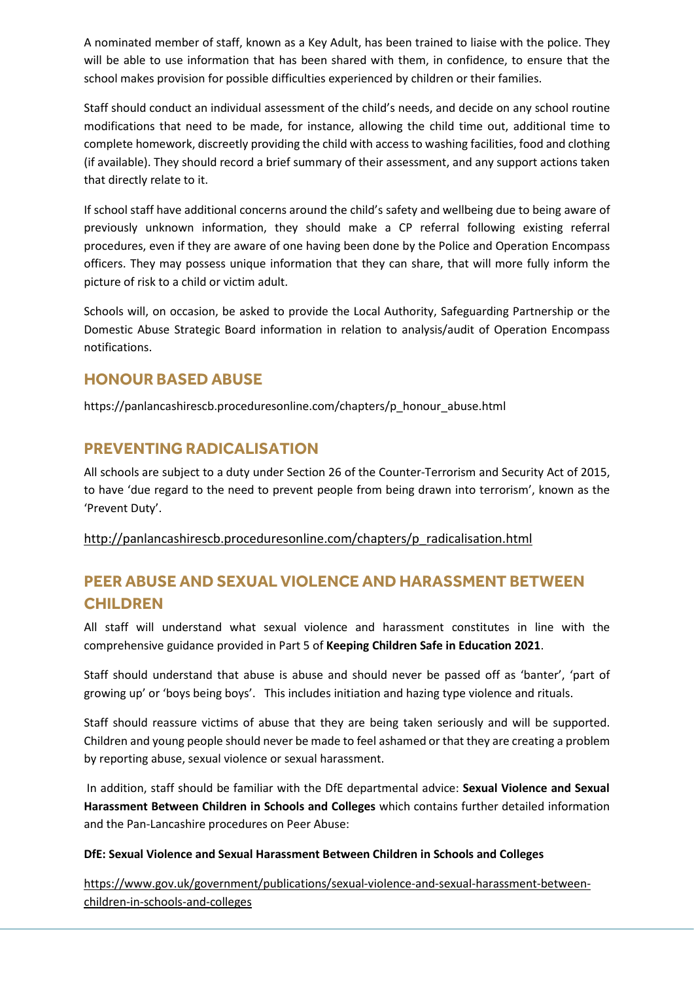A nominated member of staff, known as a Key Adult, has been trained to liaise with the police. They will be able to use information that has been shared with them, in confidence, to ensure that the school makes provision for possible difficulties experienced by children or their families.

Staff should conduct an individual assessment of the child's needs, and decide on any school routine modifications that need to be made, for instance, allowing the child time out, additional time to complete homework, discreetly providing the child with access to washing facilities, food and clothing (if available). They should record a brief summary of their assessment, and any support actions taken that directly relate to it.

If school staff have additional concerns around the child's safety and wellbeing due to being aware of previously unknown information, they should make a CP referral following existing referral procedures, even if they are aware of one having been done by the Police and Operation Encompass officers. They may possess unique information that they can share, that will more fully inform the picture of risk to a child or victim adult.

Schools will, on occasion, be asked to provide the Local Authority, Safeguarding Partnership or the Domestic Abuse Strategic Board information in relation to analysis/audit of Operation Encompass notifications.

## **HONOUR BASED ABUSE**

[https://panlancashirescb.proceduresonline.com/chapters/p\\_honour\\_abuse.html](https://panlancashirescb.proceduresonline.com/chapters/p_honour_abuse.html)

## **PREVENTING RADICALISATION**

All schools are subject to a duty under Section 26 of the Counter-Terrorism and Security Act of 2015, to have 'due regard to the need to prevent people from being drawn into terrorism', known as the 'Prevent Duty'.

[http://panlancashirescb.proceduresonline.com/chapters/p\\_radicalisation.html](http://panlancashirescb.proceduresonline.com/chapters/p_radicalisation.html)

## **PEER ABUSE AND SEXUAL VIOLENCE AND HARASSMENT BETWEEN CHILDREN**

All staff will understand what sexual violence and harassment constitutes in line with the comprehensive guidance provided in Part 5 of **Keeping Children Safe in Education 2021**.

Staff should understand that abuse is abuse and should never be passed off as 'banter', 'part of growing up' or 'boys being boys'. This includes initiation and hazing type violence and rituals.

Staff should reassure victims of abuse that they are being taken seriously and will be supported. Children and young people should never be made to feel ashamed or that they are creating a problem by reporting abuse, sexual violence or sexual harassment.

In addition, staff should be familiar with the DfE departmental advice: **Sexual Violence and Sexual Harassment Between Children in Schools and Colleges** which contains further detailed information and the Pan-Lancashire procedures on Peer Abuse:

#### **DfE: Sexual Violence and Sexual Harassment Between Children in Schools and Colleges**

[https://www.gov.uk/government/publications/sexual-violence-and-sexual-harassment-between](https://www.gov.uk/government/publications/sexual-violence-and-sexual-harassment-between-children-in-schools-and-colleges)[children-in-schools-and-colleges](https://www.gov.uk/government/publications/sexual-violence-and-sexual-harassment-between-children-in-schools-and-colleges)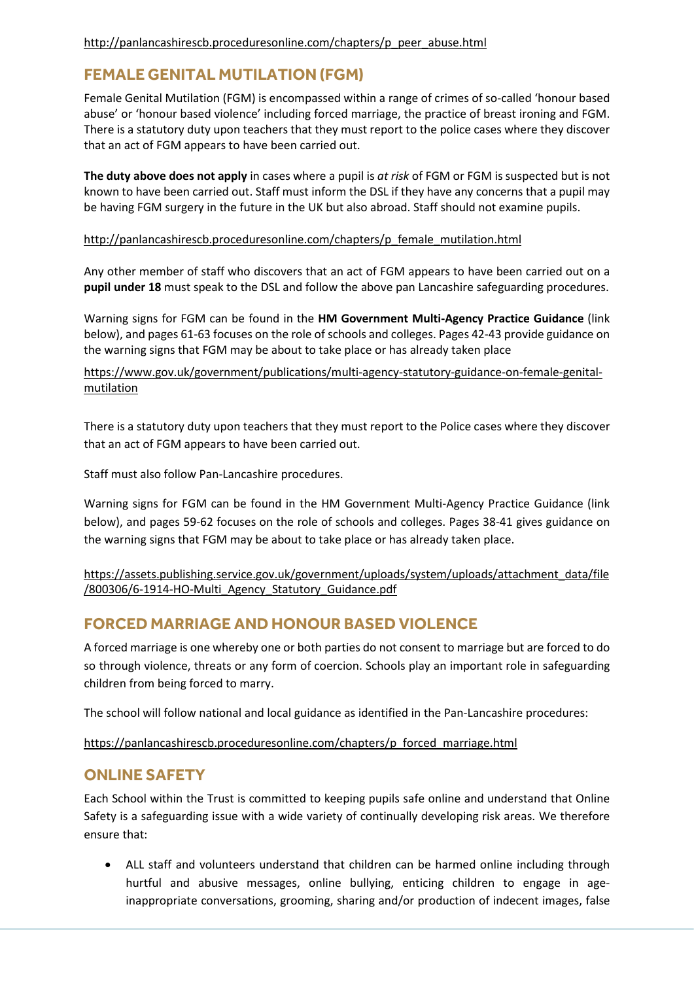## **FEMALE GENITAL MUTILATION (FGM)**

Female Genital Mutilation (FGM) is encompassed within a range of crimes of so-called 'honour based abuse' or 'honour based violence' including forced marriage, the practice of breast ironing and FGM. There is a statutory duty upon teachers that they must report to the police cases where they discover that an act of FGM appears to have been carried out.

**The duty above does not apply** in cases where a pupil is *at risk* of FGM or FGM is suspected but is not known to have been carried out. Staff must inform the DSL if they have any concerns that a pupil may be having FGM surgery in the future in the UK but also abroad. Staff should not examine pupils.

#### [http://panlancashirescb.proceduresonline.com/chapters/p\\_female\\_mutilation.html](http://panlancashirescb.proceduresonline.com/chapters/p_female_mutilation.html)

Any other member of staff who discovers that an act of FGM appears to have been carried out on a **pupil under 18** must speak to the DSL and follow the above pan Lancashire safeguarding procedures.

Warning signs for FGM can be found in the **HM Government Multi-Agency Practice Guidance** (link below), and pages 61-63 focuses on the role of schools and colleges. Pages 42-43 provide guidance on the warning signs that FGM may be about to take place or has already taken place

[https://www.gov.uk/government/publications/multi-agency-statutory-guidance-on-female-genital](https://www.gov.uk/government/publications/multi-agency-statutory-guidance-on-female-genital-mutilation)[mutilation](https://www.gov.uk/government/publications/multi-agency-statutory-guidance-on-female-genital-mutilation) 

There is a statutory duty upon teachers that they must report to the Police cases where they discover that an act of FGM appears to have been carried out.

Staff must also follow Pan-Lancashire procedures.

Warning signs for FGM can be found in the HM Government Multi-Agency Practice Guidance (link below), and pages 59-62 focuses on the role of schools and colleges. Pages 38-41 gives guidance on the warning signs that FGM may be about to take place or has already taken place.

[https://assets.publishing.service.gov.uk/government/uploads/system/uploads/attachment\\_data/file](https://assets.publishing.service.gov.uk/government/uploads/system/uploads/attachment_data/file/800306/6-1914-HO-Multi_Agency_Statutory_Guidance.pdf) [/800306/6-1914-HO-Multi\\_Agency\\_Statutory\\_Guidance.pdf](https://assets.publishing.service.gov.uk/government/uploads/system/uploads/attachment_data/file/800306/6-1914-HO-Multi_Agency_Statutory_Guidance.pdf) 

## **FORCED MARRIAGE AND HONOUR BASED VIOLENCE**

A forced marriage is one whereby one or both parties do not consent to marriage but are forced to do so through violence, threats or any form of coercion. Schools play an important role in safeguarding children from being forced to marry.

The school will follow national and local guidance as identified in the Pan-Lancashire procedures:

[https://panlancashirescb.proceduresonline.com/chapters/p\\_forced\\_marriage.html](https://panlancashirescb.proceduresonline.com/chapters/p_forced_marriage.html) 

#### **ONLINE SAFETY**

Each School within the Trust is committed to keeping pupils safe online and understand that Online Safety is a safeguarding issue with a wide variety of continually developing risk areas. We therefore ensure that:

• ALL staff and volunteers understand that children can be harmed online including through hurtful and abusive messages, online bullying, enticing children to engage in ageinappropriate conversations, grooming, sharing and/or production of indecent images, false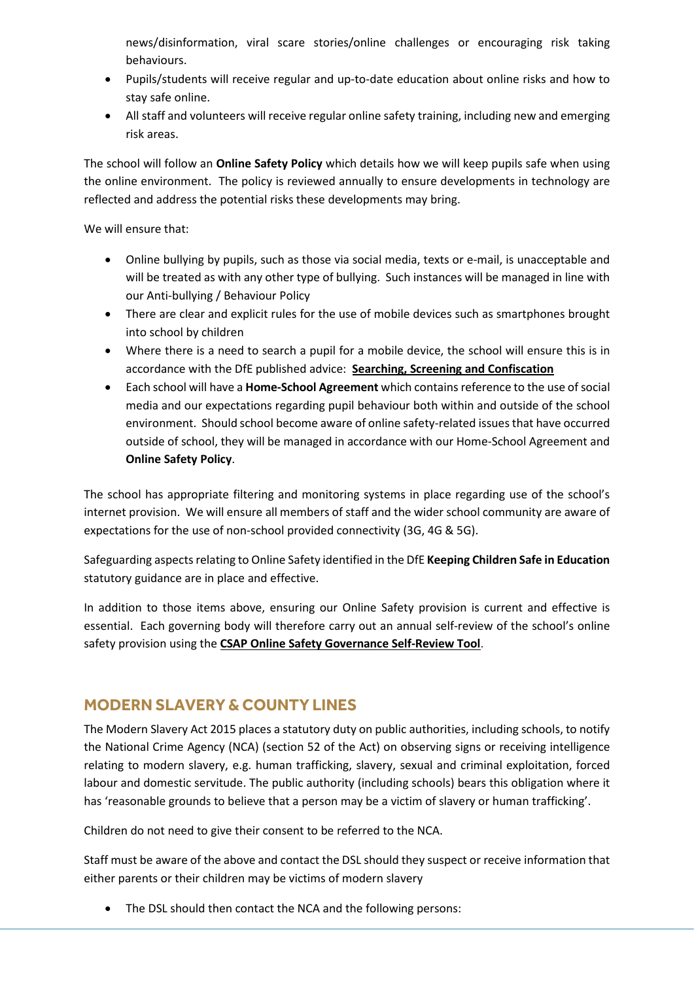news/disinformation, viral scare stories/online challenges or encouraging risk taking behaviours.

- Pupils/students will receive regular and up-to-date education about online risks and how to stay safe online.
- All staff and volunteers will receive regular online safety training, including new and emerging risk areas.

The school will follow an **Online Safety Policy** which details how we will keep pupils safe when using the online environment. The policy is reviewed annually to ensure developments in technology are reflected and address the potential risks these developments may bring.

We will ensure that:

- Online bullying by pupils, such as those via social media, texts or e-mail, is unacceptable and will be treated as with any other type of bullying. Such instances will be managed in line with our [Anti-bullying / Behaviour Policy](https://www.gov.uk/bullying-at-school)
- There are clear and explicit rules for the use of mobile devices such as smartphones brought into school by children
- Where there is a need to search a pupil for a mobile device, the school will ensure this is in accordance with the DfE published advice: **[Searching, Screening and Confiscation](https://www.gov.uk/government/publications/searching-screening-and-confiscation)**
- Each school will have a **Home-School Agreement** which contains reference to the use of social media and our expectations regarding pupil behaviour both within and outside of the school environment. Should school become aware of online safety-related issues that have occurred outside of school, they will be managed in accordance with our Home-School Agreement and **Online Safety Policy**.

The school has appropriate filtering and monitoring systems in place regarding use of the school's internet provision. We will ensure all members of staff and the wider school community are aware of expectations for the use of non-school provided connectivity (3G, 4G & 5G).

Safeguarding aspects relating to Online Safety identified in the DfE **Keeping Children Safe in Education** statutory guidance are in place and effective.

In addition to those items above, ensuring our Online Safety provision is current and effective is essential. Each governing body will therefore carry out an annual self-review of the school's online safety provision using the **[CSAP Online Safety Governance Self-Review Tool](https://www.lancashiresafeguarding.org.uk/online-safeguarding/schools-the-childrens-workforce/#GovernorSRT)**.

### **MODERN SLAVERY & COUNTY LINES**

The Modern Slavery Act 2015 places a statutory duty on public authorities, including schools, to notify the National Crime Agency (NCA) (section 52 of the Act) on observing signs or receiving intelligence relating to modern slavery, e.g. human trafficking, slavery, sexual and criminal exploitation, forced labour and domestic servitude. The public authority (including schools) bears this obligation where it has 'reasonable grounds to believe that a person may be a victim of slavery or human trafficking'.

Children do not need to give their consent to be referred to the NCA.

Staff must be aware of the above and contact the DSL should they suspect or receive information that either parents or their children may be victims of modern slavery

• The DSL should then contact the NCA and the following persons: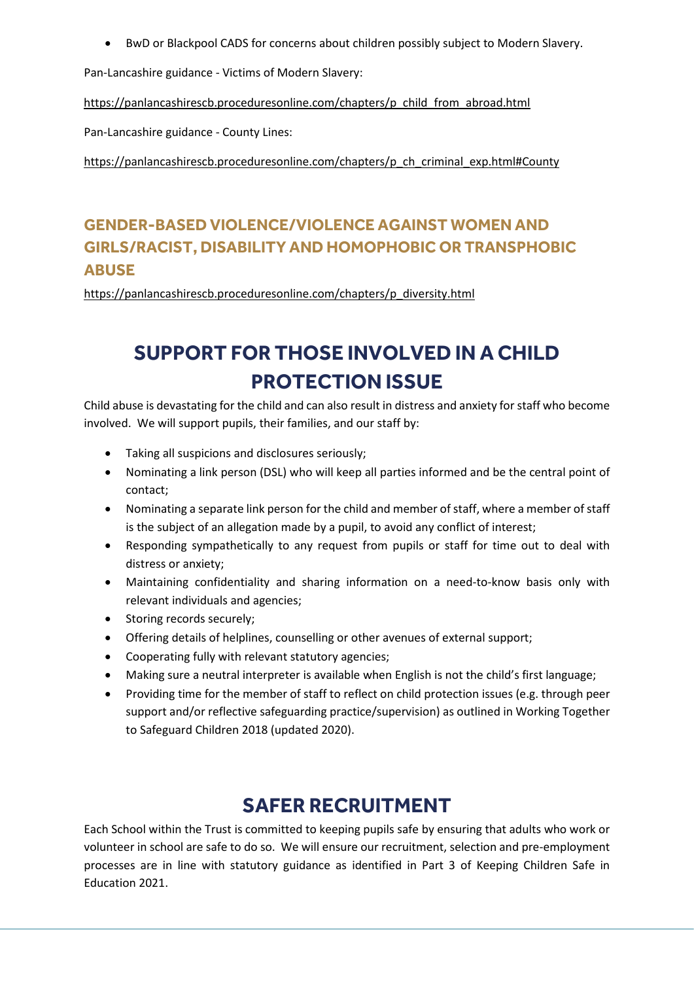• BwD or Blackpool CADS for concerns about children possibly subject to Modern Slavery.

Pan-Lancashire guidance - Victims of Modern Slavery:

[https://panlancashirescb.proceduresonline.com/chapters/p\\_child\\_from\\_abroad.html](https://panlancashirescb.proceduresonline.com/chapters/p_child_from_abroad.html)

Pan-Lancashire guidance - County Lines:

[https://panlancashirescb.proceduresonline.com/chapters/p\\_ch\\_criminal\\_exp.html#County](https://panlancashirescb.proceduresonline.com/chapters/p_ch_criminal_exp.html#County)

## **GENDER-BASED VIOLENCE/VIOLENCE AGAINST WOMEN AND GIRLS/RACIST, DISABILITY AND HOMOPHOBIC OR TRANSPHOBIC ABUSE**

<span id="page-17-0"></span>[https://panlancashirescb.proceduresonline.com/chapters/p\\_diversity.html](https://panlancashirescb.proceduresonline.com/chapters/p_diversity.html)

## **SUPPORT FOR THOSE INVOLVED IN A CHILD PROTECTION ISSUE**

Child abuse is devastating for the child and can also result in distress and anxiety for staff who become involved. We will support pupils, their families, and our staff by:

- Taking all suspicions and disclosures seriously;
- Nominating a link person (DSL) who will keep all parties informed and be the central point of contact;
- Nominating a separate link person for the child and member of staff, where a member of staff is the subject of an allegation made by a pupil, to avoid any conflict of interest;
- Responding sympathetically to any request from pupils or staff for time out to deal with distress or anxiety;
- Maintaining confidentiality and sharing information on a need-to-know basis only with relevant individuals and agencies;
- Storing records securely;
- Offering details of helplines, counselling or other avenues of external support;
- Cooperating fully with relevant statutory agencies;
- Making sure a neutral interpreter is available when English is not the child's first language;
- Providing time for the member of staff to reflect on child protection issues (e.g. through peer support and/or reflective safeguarding practice/supervision) as outlined in Working Together to Safeguard Children 2018 (updated 2020).

## **SAFER RECRUITMENT**

<span id="page-17-1"></span>Each School within the Trust is committed to keeping pupils safe by ensuring that adults who work or volunteer in school are safe to do so. We will ensure our recruitment, selection and pre-employment processes are in line with statutory guidance as identified in Part 3 of Keeping Children Safe in Education 2021.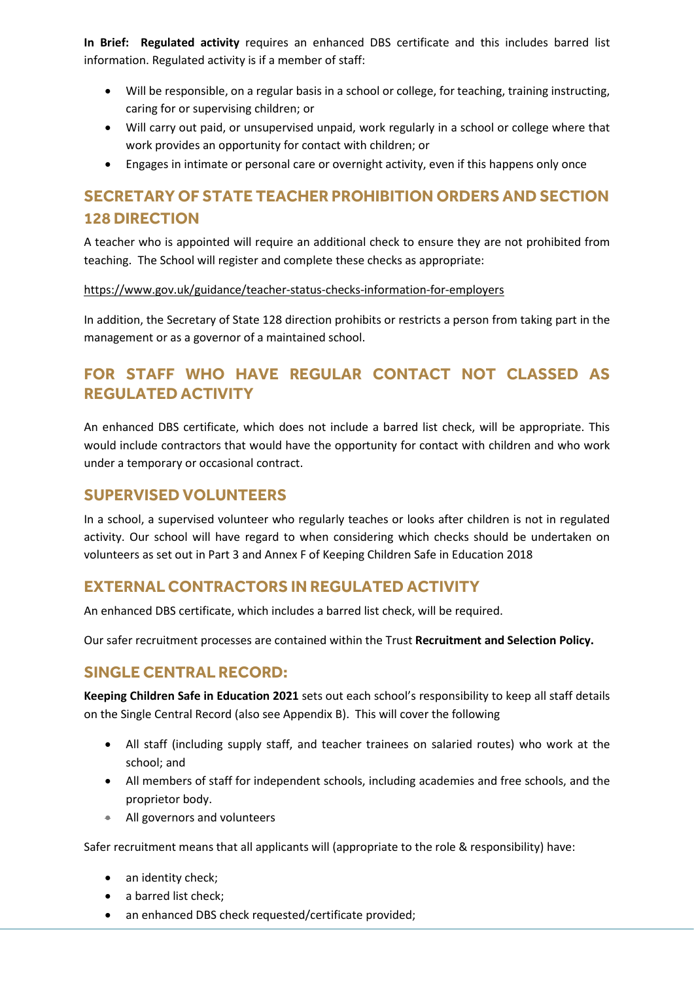**In Brief: Regulated activity** requires an enhanced DBS certificate and this includes barred list information. Regulated activity is if a member of staff:

- Will be responsible, on a regular basis in a school or college, for teaching, training instructing, caring for or supervising children; or
- Will carry out paid, or unsupervised unpaid, work regularly in a school or college where that work provides an opportunity for contact with children; or
- Engages in intimate or personal care or overnight activity, even if this happens only once

## **SECRETARY OF STATE TEACHER PROHIBITION ORDERS AND SECTION 128 DIRECTION**

A teacher who is appointed will require an additional check to ensure they are not prohibited from teaching. The School will register and complete these checks as appropriate:

#### <https://www.gov.uk/guidance/teacher-status-checks-information-for-employers>

In addition, the Secretary of State 128 direction prohibits or restricts a person from taking part in the management or as a governor of a maintained school.

## **FOR STAFF WHO HAVE REGULAR CONTACT NOT CLASSED AS REGULATED ACTIVITY**

An enhanced DBS certificate, which does not include a barred list check, will be appropriate. This would include contractors that would have the opportunity for contact with children and who work under a temporary or occasional contract.

### **SUPERVISED VOLUNTEERS**

In a school, a supervised volunteer who regularly teaches or looks after children is not in regulated activity. Our school will have regard to when considering which checks should be undertaken on volunteers as set out in Part 3 and Annex F of Keeping Children Safe in Education 2018

## **EXTERNAL CONTRACTORS IN REGULATED ACTIVITY**

An enhanced DBS certificate, which includes a barred list check, will be required.

Our safer recruitment processes are contained within the Trust **Recruitment and Selection Policy.**

### **SINGLE CENTRAL RECORD:**

**Keeping Children Safe in Education 2021** sets out each school's responsibility to keep all staff details on the Single Central Record (also see Appendix B). This will cover the following

- All staff (including supply staff, and teacher trainees on salaried routes) who work at the school; and
- All members of staff for independent schools, including academies and free schools, and the proprietor body.
- All governors and volunteers

Safer recruitment means that all applicants will (appropriate to the role & responsibility) have:

- an identity check:
- a barred list check;
- an enhanced DBS check requested/certificate provided: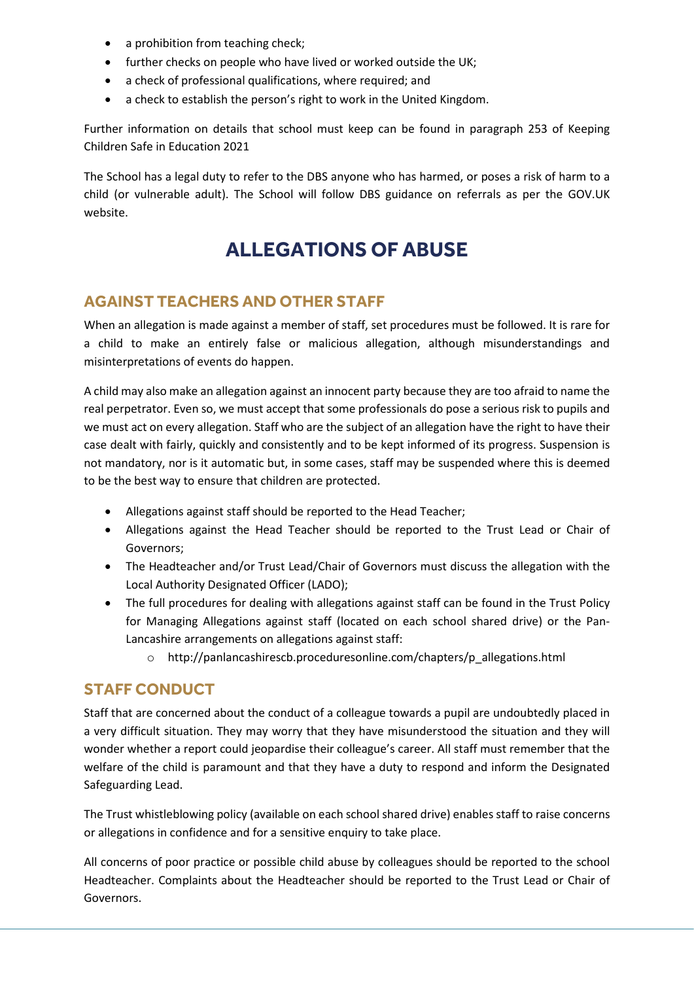- a prohibition from teaching check;
- further checks on people who have lived or worked outside the UK;
- a check of professional qualifications, where required; and
- a check to establish the person's right to work in the United Kingdom.

Further information on details that school must keep can be found in paragraph 253 of Keeping Children Safe in Education 2021

The School has a legal duty to refer to the DBS anyone who has harmed, or poses a risk of harm to a child (or vulnerable adult). The School will follow DBS guidance on referrals as per the GOV.UK website.

## **ALLEGATIONS OF ABUSE**

### <span id="page-19-0"></span>**AGAINST TEACHERS AND OTHER STAFF**

When an allegation is made against a member of staff, set procedures must be followed. It is rare for a child to make an entirely false or malicious allegation, although misunderstandings and misinterpretations of events do happen.

A child may also make an allegation against an innocent party because they are too afraid to name the real perpetrator. Even so, we must accept that some professionals do pose a serious risk to pupils and we must act on every allegation. Staff who are the subject of an allegation have the right to have their case dealt with fairly, quickly and consistently and to be kept informed of its progress. Suspension is not mandatory, nor is it automatic but, in some cases, staff may be suspended where this is deemed to be the best way to ensure that children are protected.

- Allegations against staff should be reported to the Head Teacher;
- Allegations against the Head Teacher should be reported to the Trust Lead or Chair of Governors;
- The Headteacher and/or Trust Lead/Chair of Governors must discuss the allegation with the Local Authority Designated Officer (LADO);
- The full procedures for dealing with allegations against staff can be found in the Trust Policy for Managing Allegations against staff (located on each school shared drive) or the Pan-Lancashire arrangements on allegations against staff:
	- o [http://panlancashirescb.proceduresonline.com/chapters/p\\_allegations.html](http://panlancashirescb.proceduresonline.com/chapters/p_allegations.html)

### **STAFF CONDUCT**

Staff that are concerned about the conduct of a colleague towards a pupil are undoubtedly placed in a very difficult situation. They may worry that they have misunderstood the situation and they will wonder whether a report could jeopardise their colleague's career. All staff must remember that the welfare of the child is paramount and that they have a duty to respond and inform the Designated Safeguarding Lead.

The Trust whistleblowing policy (available on each school shared drive) enables staff to raise concerns or allegations in confidence and for a sensitive enquiry to take place.

All concerns of poor practice or possible child abuse by colleagues should be reported to the school Headteacher. Complaints about the Headteacher should be reported to the Trust Lead or Chair of Governors.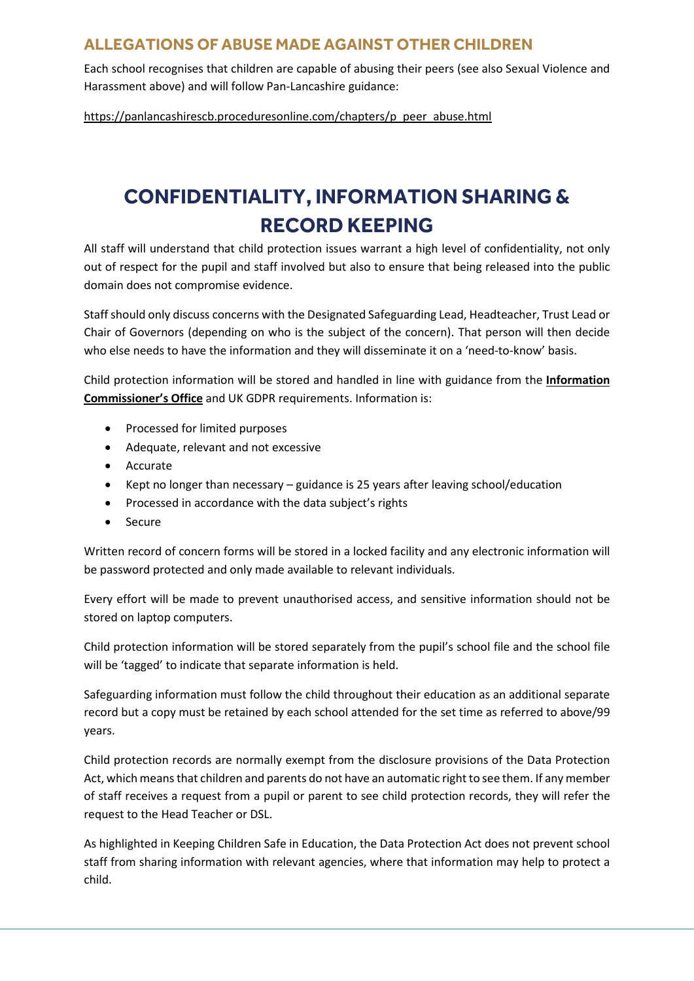## **ALLEGATIONS OF ABUSE MADE AGAINST OTHER CHILDREN**

Each school recognises that children are capable of abusing their peers (see also Sexual Violence and Harassment above) and will follow Pan-Lancashire guidance:

<span id="page-20-0"></span>[https://panlancashirescb.proceduresonline.com/chapters/p\\_peer\\_abuse.html](https://panlancashirescb.proceduresonline.com/chapters/p_peer_abuse.html) 

## **CONFIDENTIALITY, INFORMATION SHARING & RECORD KEEPING**

All staff will understand that child protection issues warrant a high level of confidentiality, not only out of respect for the pupil and staff involved but also to ensure that being released into the public domain does not compromise evidence.

Staff should only discuss concerns with the Designated Safeguarding Lead, Headteacher, Trust Lead or Chair of Governors (depending on who is the subject of the concern). That person will then decide who else needs to have the information and they will disseminate it on a 'need-to-know' basis.

Child protection information will be stored and handled in line with guidance from the **[Information](https://ico.org.uk/your-data-matters/schools/)  [Commissioner's Office](https://ico.org.uk/your-data-matters/schools/)** and UK GDPR requirements. Information is:

- Processed for limited purposes
- Adequate, relevant and not excessive
- Accurate
- Kept no longer than necessary guidance is 25 years after leaving school/education
- Processed in accordance with the data subject's rights
- Secure

Written record of concern forms will be stored in a locked facility and any electronic information will be password protected and only made available to relevant individuals.

Every effort will be made to prevent unauthorised access, and sensitive information should not be stored on laptop computers.

Child protection information will be stored separately from the pupil's school file and the school file will be 'tagged' to indicate that separate information is held.

Safeguarding information must follow the child throughout their education as an additional separate record but a copy must be retained by each school attended for the set time as referred to above/99 years.

Child protection records are normally exempt from the disclosure provisions of the Data Protection Act, which means that children and parents do not have an automatic right to see them. If any member of staff receives a request from a pupil or parent to see child protection records, they will refer the request to the Head Teacher or DSL.

As highlighted in Keeping Children Safe in Education, the Data Protection Act does not prevent school staff from sharing information with relevant agencies, where that information may help to protect a child.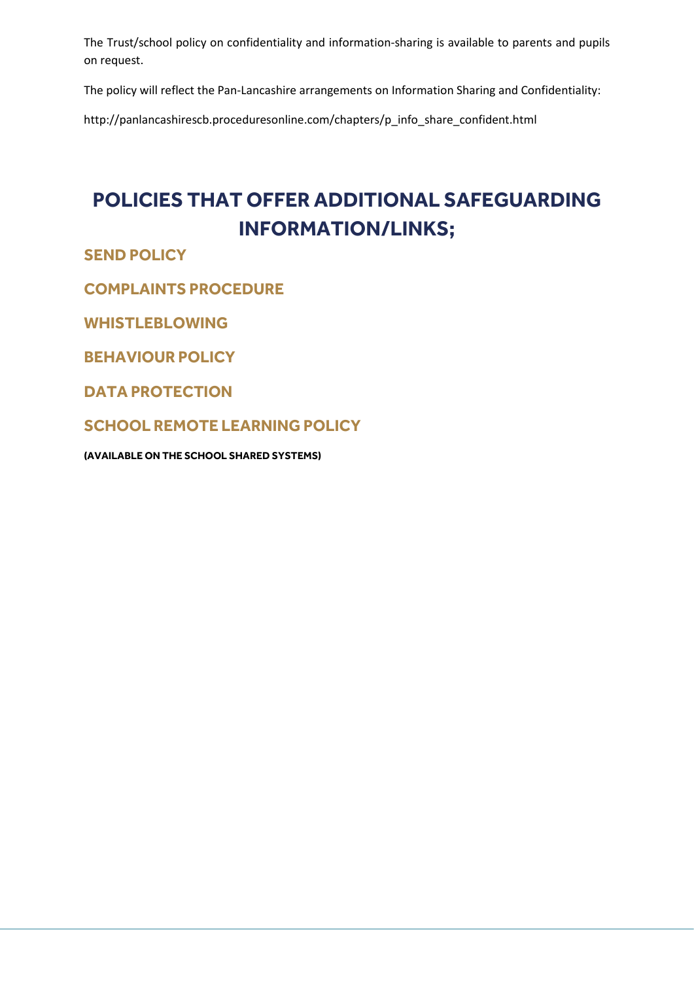The Trust/school policy on confidentiality and information-sharing is available to parents and pupils on request.

The policy will reflect the Pan-Lancashire arrangements on Information Sharing and Confidentiality:

<span id="page-21-0"></span>[http://panlancashirescb.proceduresonline.com/chapters/p\\_info\\_share\\_confident.html](http://panlancashirescb.proceduresonline.com/chapters/p_info_share_confident.html)

## **POLICIES THAT OFFER ADDITIONAL SAFEGUARDING INFORMATION/LINKS;**

**SEND POLICY** 

**COMPLAINTS PROCEDURE**

**WHISTLEBLOWING** 

**BEHAVIOUR POLICY** 

**DATA PROTECTION** 

**SCHOOL REMOTE LEARNING POLICY** 

**(AVAILABLE ON THE SCHOOL SHARED SYSTEMS)**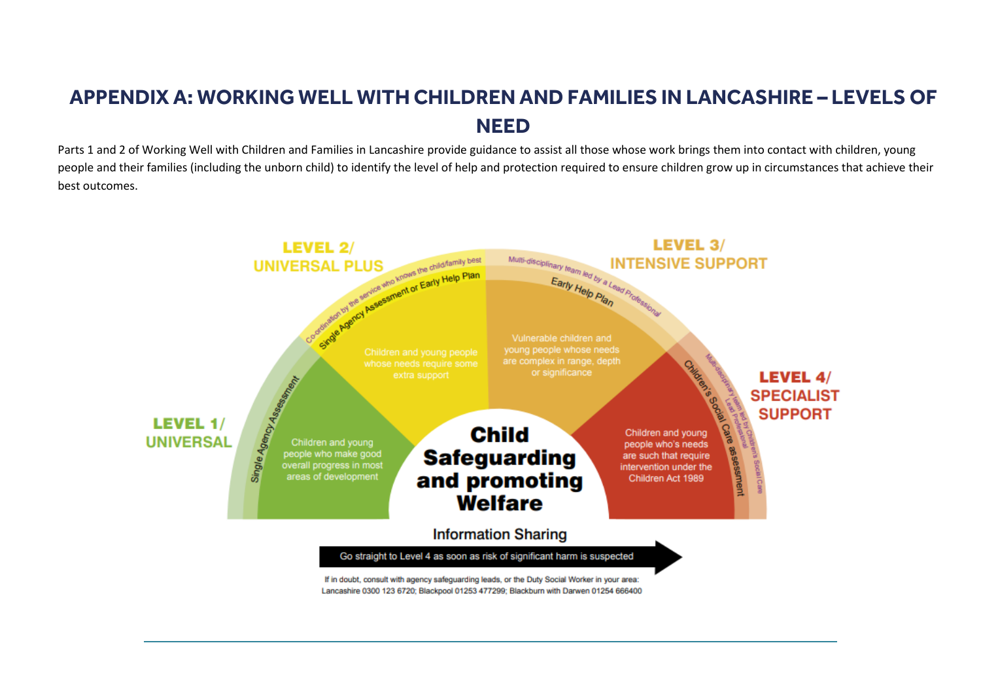## **APPENDIX A: WORKING WELL WITH CHILDREN AND FAMILIES IN LANCASHIRE – LEVELS OF NEED**

Parts 1 and 2 of Working Well with Children and Families in Lancashire provide guidance to assist all those whose work brings them into contact with children, young people and their families (including the unborn child) to identify the level of help and protection required to ensure children grow up in circumstances that achieve their best outcomes.

<span id="page-22-0"></span>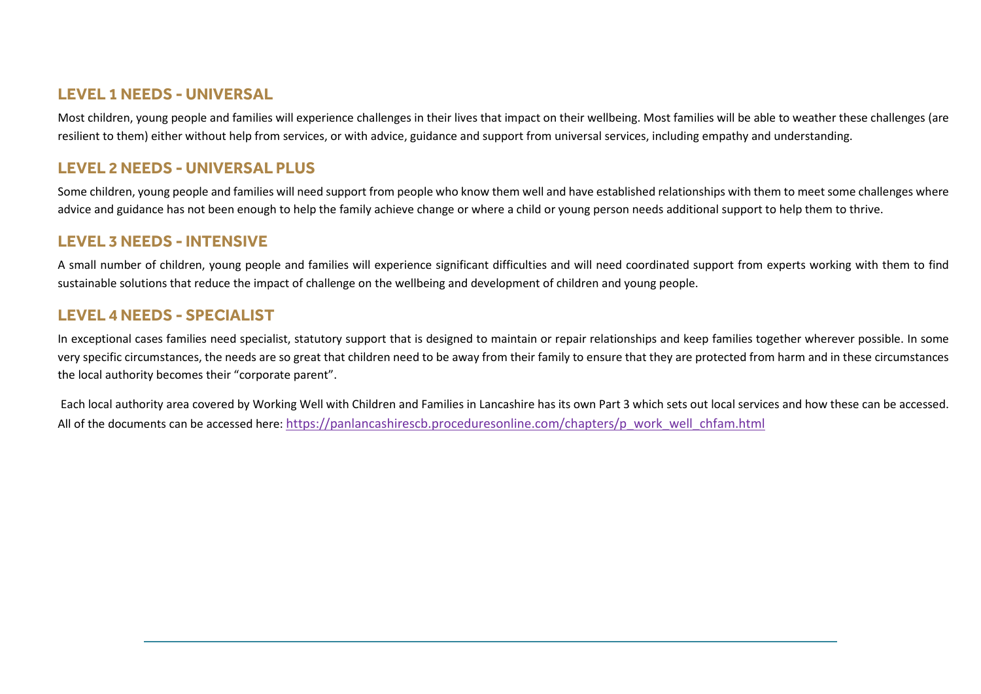### **LEVEL 1 NEEDS - UNIVERSAL**

Most children, young people and families will experience challenges in their lives that impact on their wellbeing. Most families will be able to weather these challenges (are resilient to them) either without help from services, or with advice, guidance and support from universal services, including empathy and understanding.

## **LEVEL 2 NEEDS - UNIVERSAL PLUS**

Some children, young people and families will need support from people who know them well and have established relationships with them to meet some challenges where advice and guidance has not been enough to help the family achieve change or where a child or young person needs additional support to help them to thrive.

### **LEVEL 3 NEEDS - INTENSIVE**

A small number of children, young people and families will experience significant difficulties and will need coordinated support from experts working with them to find sustainable solutions that reduce the impact of challenge on the wellbeing and development of children and young people.

## **LEVEL 4 NEEDS - SPECIALIST**

In exceptional cases families need specialist, statutory support that is designed to maintain or repair relationships and keep families together wherever possible. In some very specific circumstances, the needs are so great that children need to be away from their family to ensure that they are protected from harm and in these circumstances the local authority becomes their "corporate parent".

Each local authority area covered by Working Well with Children and Families in Lancashire has its own Part 3 which sets out local services and how these can be accessed. All of the documents can be accessed here: https://panlancashirescb.proceduresonline.com/chapters/p\_work\_well\_chfam.html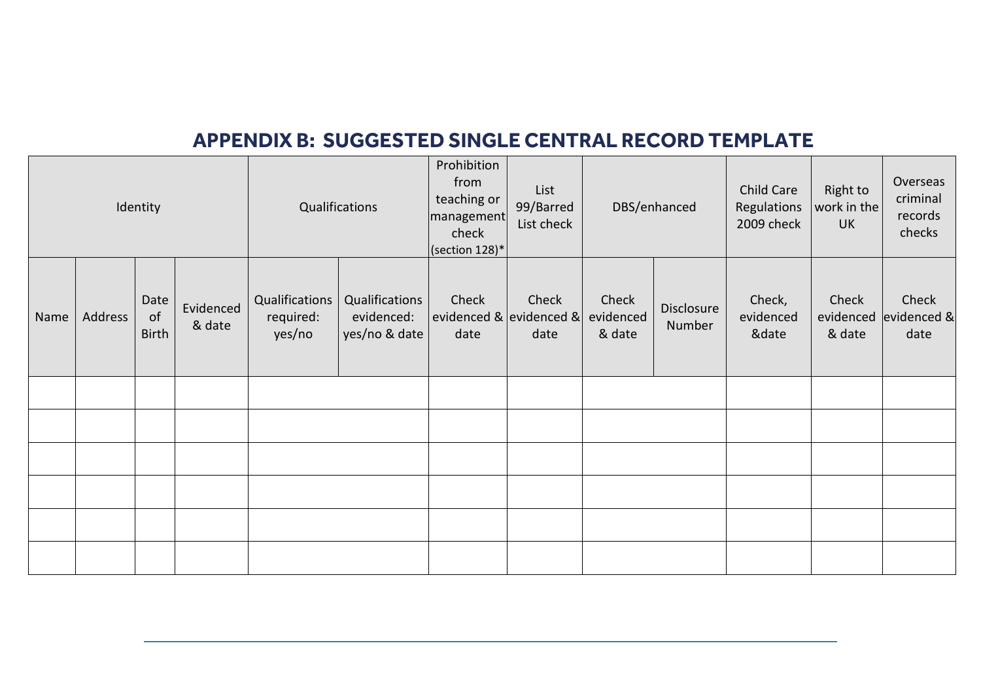## **APPENDIX B: SUGGESTED SINGLE CENTRAL RECORD TEMPLATE**

<span id="page-24-0"></span>

|      |         | Identity                   |                     |                                       | Qualifications                                | Prohibition<br>from<br>teaching or<br>management<br>check<br>(section 128)* | List<br>99/Barred<br>List check |                              | DBS/enhanced         | <b>Child Care</b><br>Regulations<br>2009 check | Right to<br>work in the<br><b>UK</b> | Overseas<br>criminal<br>records<br>checks |
|------|---------|----------------------------|---------------------|---------------------------------------|-----------------------------------------------|-----------------------------------------------------------------------------|---------------------------------|------------------------------|----------------------|------------------------------------------------|--------------------------------------|-------------------------------------------|
| Name | Address | Date<br>of<br><b>Birth</b> | Evidenced<br>& date | Qualifications<br>required:<br>yes/no | Qualifications<br>evidenced:<br>yes/no & date | Check<br>evidenced & evidenced &<br>date                                    | Check<br>date                   | Check<br>evidenced<br>& date | Disclosure<br>Number | Check,<br>evidenced<br>&date                   | Check<br>evidenced<br>& date         | Check<br>evidenced &<br>date              |
|      |         |                            |                     |                                       |                                               |                                                                             |                                 |                              |                      |                                                |                                      |                                           |
|      |         |                            |                     |                                       |                                               |                                                                             |                                 |                              |                      |                                                |                                      |                                           |
|      |         |                            |                     |                                       |                                               |                                                                             |                                 |                              |                      |                                                |                                      |                                           |
|      |         |                            |                     |                                       |                                               |                                                                             |                                 |                              |                      |                                                |                                      |                                           |
|      |         |                            |                     |                                       |                                               |                                                                             |                                 |                              |                      |                                                |                                      |                                           |
|      |         |                            |                     |                                       |                                               |                                                                             |                                 |                              |                      |                                                |                                      |                                           |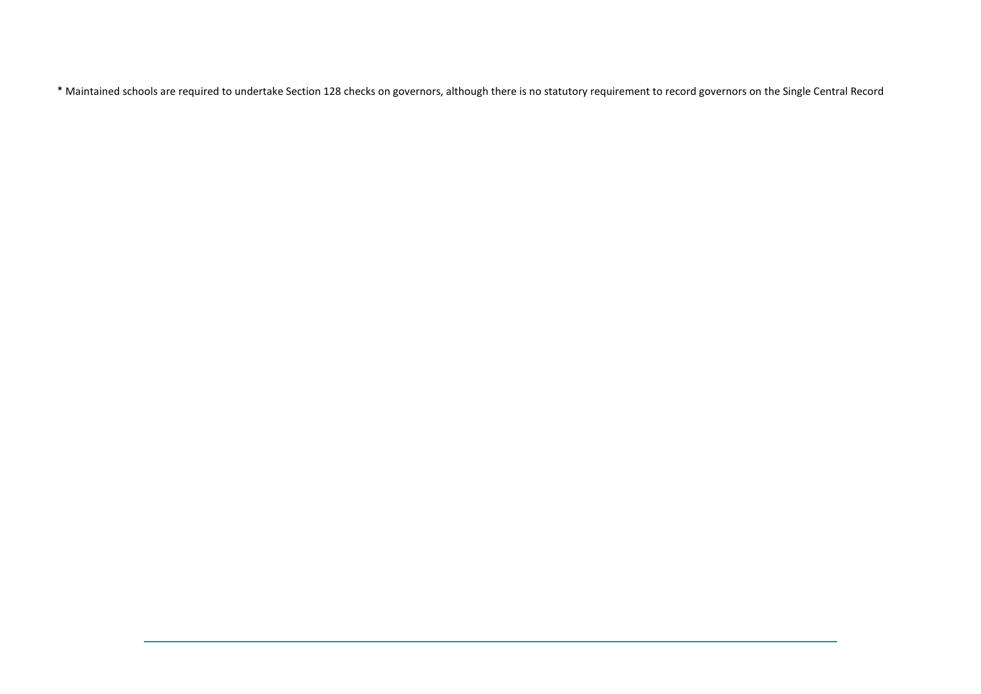**\*** Maintained schools are required to undertake Section 128 checks on governors, although there is no statutory requirement to record governors on the Single Central Record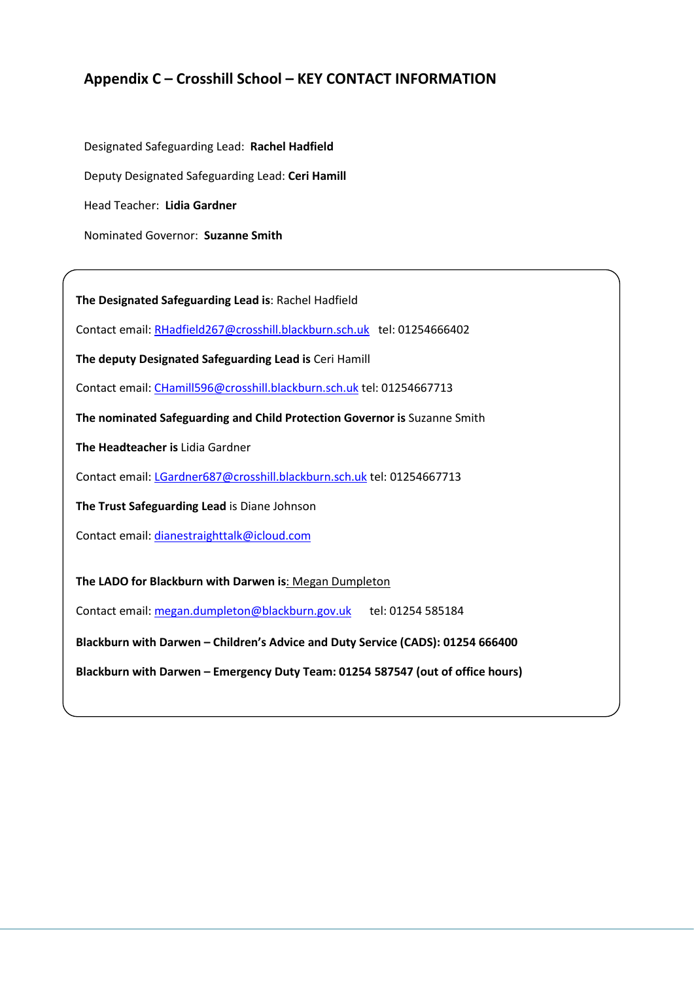### **Appendix C – Crosshill School – KEY CONTACT INFORMATION**

Designated Safeguarding Lead: **Rachel Hadfield** Deputy Designated Safeguarding Lead: **Ceri Hamill** Head Teacher: **Lidia Gardner** Nominated Governor: **Suzanne Smith**

**The Designated Safeguarding Lead is**: Rachel Hadfield

Contact email[: RHadfield267@crosshill.blackburn.sch.uk](mailto:RHadfield267@crosshill.blackburn.sch.uk) tel: 01254666402

**The deputy Designated Safeguarding Lead is** Ceri Hamill

Contact email[: CHamill596@crosshill.blackburn.sch.uk](mailto:CHamill596@crosshill.blackburn.sch.uk) tel: 01254667713

**The nominated Safeguarding and Child Protection Governor is** Suzanne Smith

**The Headteacher is** Lidia Gardner

Contact email[: LGardner687@crosshill.blackburn.sch.uk](mailto:LGardner687@crosshill.blackburn.sch.uk) tel: 01254667713

**The Trust Safeguarding Lead** is Diane Johnson

Contact email[: dianestraighttalk@icloud.com](mailto:dianestraighttalk@icloud.com)

**The LADO for Blackburn with Darwen is**: Megan Dumpleton

Contact email[: megan.dumpleton@blackburn.gov.uk](mailto:megan.dumpleton@blackburn.gov.uk) tel: 01254 585184

**Blackburn with Darwen – Children's Advice and Duty Service (CADS): 01254 666400**

**Blackburn with Darwen – Emergency Duty Team: 01254 587547 (out of office hours)**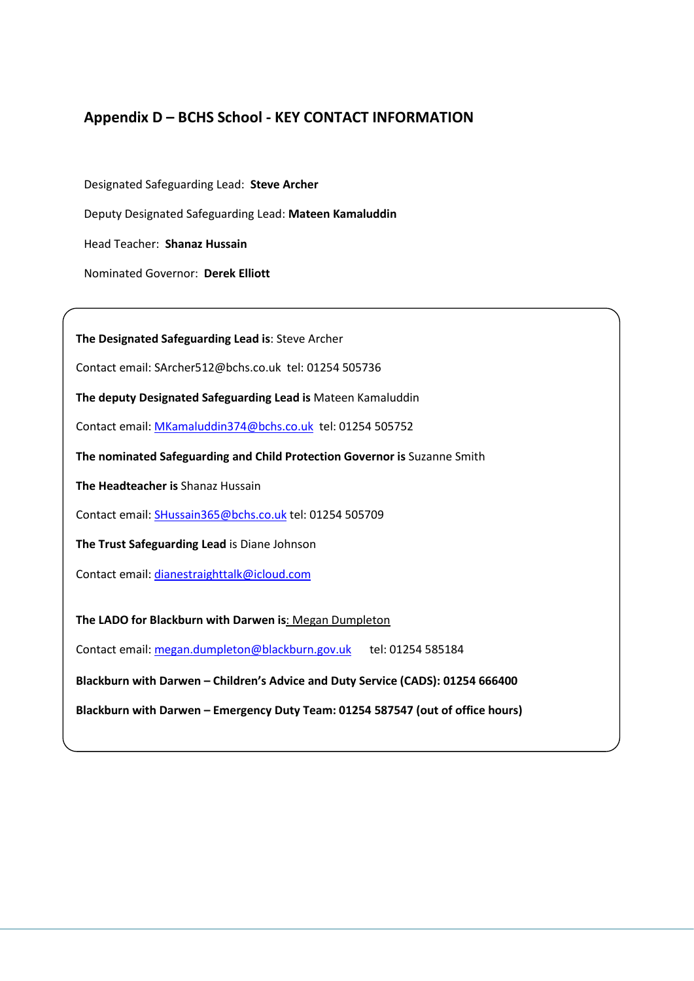## **Appendix D – BCHS School - KEY CONTACT INFORMATION**

Designated Safeguarding Lead: **Steve Archer** Deputy Designated Safeguarding Lead: **Mateen Kamaluddin** Head Teacher: **Shanaz Hussain** Nominated Governor: **Derek Elliott**

**The Designated Safeguarding Lead is**: Steve Archer Contact email: SArcher512@bchs.co.uk tel: 01254 505736 **The deputy Designated Safeguarding Lead is** Mateen Kamaluddin Contact email[: MKamaluddin374@bchs.co.uk](mailto:MKamaluddin374@bchs.co.uk) tel: 01254 505752 **The nominated Safeguarding and Child Protection Governor is** Suzanne Smith **The Headteacher is** Shanaz Hussain Contact email[: SHussain365@bchs.co.uk](mailto:SHussain365@bchs.co.uk) tel: 01254 505709 **The Trust Safeguarding Lead** is Diane Johnson Contact email[: dianestraighttalk@icloud.com](mailto:dianestraighttalk@icloud.com) **The LADO for Blackburn with Darwen is**: Megan Dumpleton Contact email[: megan.dumpleton@blackburn.gov.uk](mailto:megan.dumpleton@blackburn.gov.uk) tel: 01254 585184 **Blackburn with Darwen – Children's Advice and Duty Service (CADS): 01254 666400**

**Blackburn with Darwen – Emergency Duty Team: 01254 587547 (out of office hours)**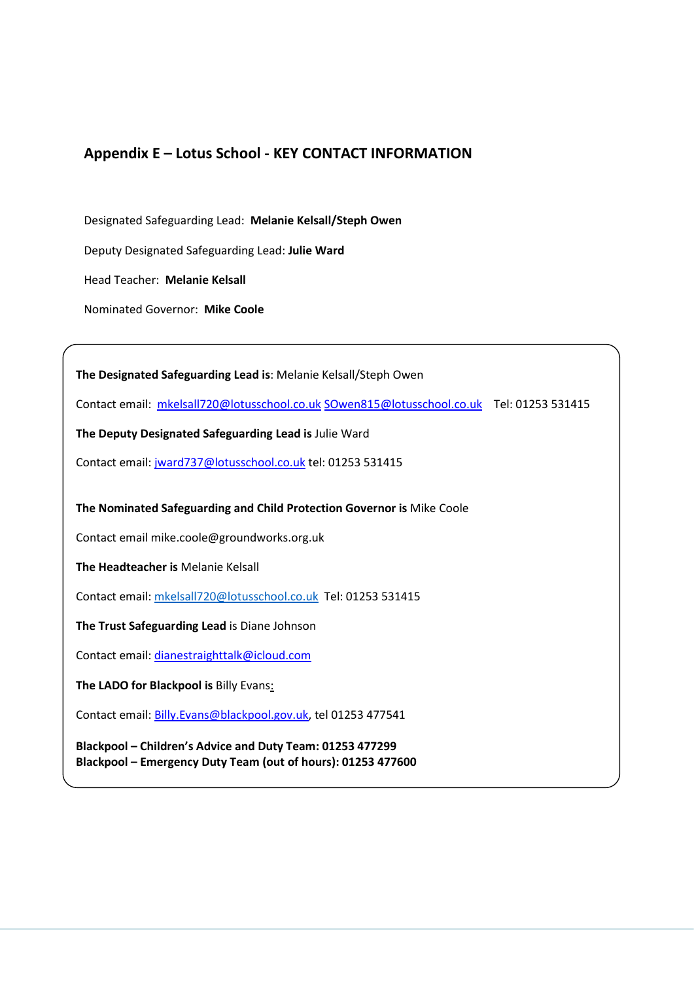### **Appendix E – Lotus School - KEY CONTACT INFORMATION**

Designated Safeguarding Lead: **Melanie Kelsall/Steph Owen**

Deputy Designated Safeguarding Lead: **Julie Ward**

Head Teacher: **Melanie Kelsall**

Nominated Governor: **Mike Coole**

**The Designated Safeguarding Lead is**: Melanie Kelsall/Steph Owen Contact email: [mkelsall720@lotusschool.co.uk](mailto:mkelsall720@lotusschool.co.uk) [SOwen815@lotusschool.co.uk](mailto:SOwen815@lotusschool.co.uk) Tel: 01253 531415 **The Deputy Designated Safeguarding Lead is** Julie Ward Contact email[: jward737@lotusschool.co.uk](mailto:jward737@lotusschool.co.uk) tel: 01253 531415 **The Nominated Safeguarding and Child Protection Governor is** Mike Coole Contact email mike.coole@groundworks.org.uk **The Headteacher is** Melanie Kelsall Contact email[: mkelsall720@lotusschool.co.uk](mailto:mkelsall720@lotusschool.co.uk) Tel: 01253 531415 **The Trust Safeguarding Lead** is Diane Johnson Contact email[: dianestraighttalk@icloud.com](mailto:dianestraighttalk@icloud.com)  **The LADO for Blackpool is** Billy Evans: Contact email[: Billy.Evans@blackpool.gov.uk,](mailto:Billy.Evans@blackpool.gov.uk) tel 01253 477541 **Blackpool – Children's Advice and Duty Team: 01253 477299 Blackpool – Emergency Duty Team (out of hours): 01253 477600**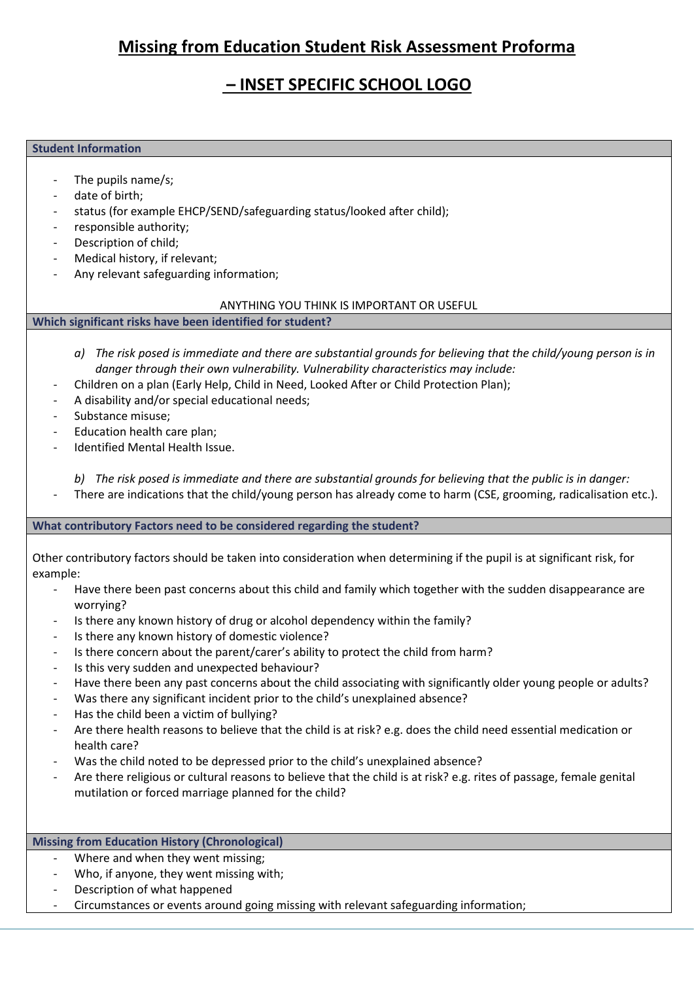## **Missing from Education Student Risk Assessment Proforma**

## **– INSET SPECIFIC SCHOOL LOGO**

#### **Student Information**

- The pupils name/s;
- date of birth;
- status (for example EHCP/SEND/safeguarding status/looked after child);
- responsible authority;
- Description of child;
- Medical history, if relevant;
- Any relevant safeguarding information;

#### ANYTHING YOU THINK IS IMPORTANT OR USEFUL

#### **Which significant risks have been identified for student?**

- *a) The risk posed is immediate and there are substantial grounds for believing that the child/young person is in danger through their own vulnerability. Vulnerability characteristics may include:*
- Children on a plan (Early Help, Child in Need, Looked After or Child Protection Plan);
- A disability and/or special educational needs;
- Substance misuse;
- Education health care plan;
- Identified Mental Health Issue.

*b) The risk posed is immediate and there are substantial grounds for believing that the public is in danger:*

There are indications that the child/young person has already come to harm (CSE, grooming, radicalisation etc.).

#### **What contributory Factors need to be considered regarding the student?**

Other contributory factors should be taken into consideration when determining if the pupil is at significant risk, for example:

- Have there been past concerns about this child and family which together with the sudden disappearance are worrying?
- Is there any known history of drug or alcohol dependency within the family?
- Is there any known history of domestic violence?
- Is there concern about the parent/carer's ability to protect the child from harm?
- Is this very sudden and unexpected behaviour?
- Have there been any past concerns about the child associating with significantly older young people or adults?
- Was there any significant incident prior to the child's unexplained absence?
- Has the child been a victim of bullying?
- Are there health reasons to believe that the child is at risk? e.g. does the child need essential medication or health care?
- Was the child noted to be depressed prior to the child's unexplained absence?
- Are there religious or cultural reasons to believe that the child is at risk? e.g. rites of passage, female genital mutilation or forced marriage planned for the child?

#### **Missing from Education History (Chronological)**

- Where and when they went missing;
- Who, if anyone, they went missing with;
- Description of what happened
- Circumstances or events around going missing with relevant safeguarding information;